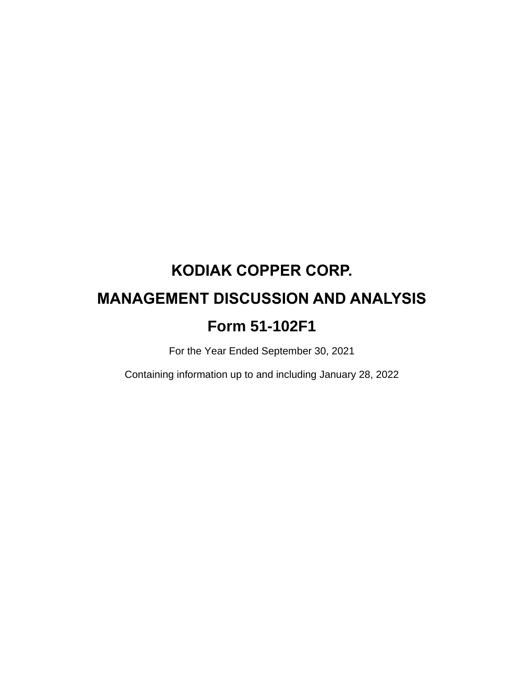# **KODIAK COPPER CORP. MANAGEMENT DISCUSSION AND ANALYSIS Form 51-102F1**

For the Year Ended September 30, 2021

Containing information up to and including January 28, 2022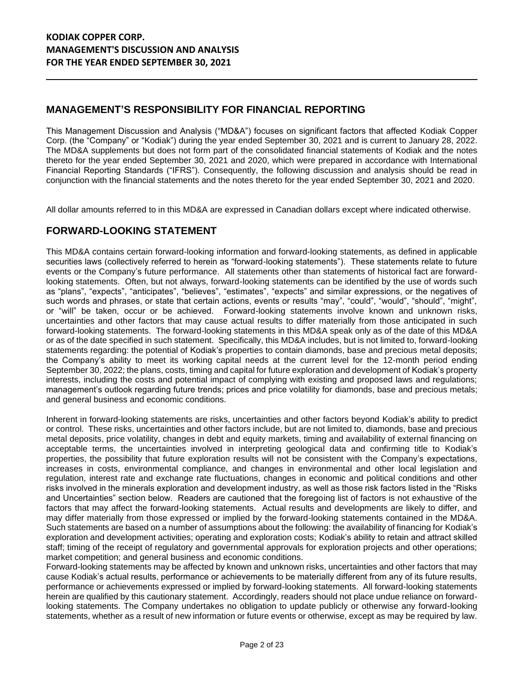# **MANAGEMENT'S RESPONSIBILITY FOR FINANCIAL REPORTING**

This Management Discussion and Analysis ("MD&A") focuses on significant factors that affected Kodiak Copper Corp. (the "Company" or "Kodiak") during the year ended September 30, 2021 and is current to January 28, 2022. The MD&A supplements but does not form part of the consolidated financial statements of Kodiak and the notes thereto for the year ended September 30, 2021 and 2020, which were prepared in accordance with International Financial Reporting Standards ("IFRS"). Consequently, the following discussion and analysis should be read in conjunction with the financial statements and the notes thereto for the year ended September 30, 2021 and 2020.

All dollar amounts referred to in this MD&A are expressed in Canadian dollars except where indicated otherwise.

# **FORWARD-LOOKING STATEMENT**

This MD&A contains certain forward-looking information and forward-looking statements, as defined in applicable securities laws (collectively referred to herein as "forward-looking statements"). These statements relate to future events or the Company's future performance. All statements other than statements of historical fact are forwardlooking statements. Often, but not always, forward-looking statements can be identified by the use of words such as "plans", "expects", "anticipates", "believes", "estimates", "expects" and similar expressions, or the negatives of such words and phrases, or state that certain actions, events or results "may", "could", "would", "should", "might", or "will" be taken, occur or be achieved. Forward-looking statements involve known and unknown risks, uncertainties and other factors that may cause actual results to differ materially from those anticipated in such forward-looking statements. The forward-looking statements in this MD&A speak only as of the date of this MD&A or as of the date specified in such statement. Specifically, this MD&A includes, but is not limited to, forward-looking statements regarding: the potential of Kodiak's properties to contain diamonds, base and precious metal deposits; the Company's ability to meet its working capital needs at the current level for the 12-month period ending September 30, 2022; the plans, costs, timing and capital for future exploration and development of Kodiak's property interests, including the costs and potential impact of complying with existing and proposed laws and regulations; management's outlook regarding future trends; prices and price volatility for diamonds, base and precious metals; and general business and economic conditions.

Inherent in forward-looking statements are risks, uncertainties and other factors beyond Kodiak's ability to predict or control. These risks, uncertainties and other factors include, but are not limited to, diamonds, base and precious metal deposits, price volatility, changes in debt and equity markets, timing and availability of external financing on acceptable terms, the uncertainties involved in interpreting geological data and confirming title to Kodiak's properties, the possibility that future exploration results will not be consistent with the Company's expectations, increases in costs, environmental compliance, and changes in environmental and other local legislation and regulation, interest rate and exchange rate fluctuations, changes in economic and political conditions and other risks involved in the minerals exploration and development industry, as well as those risk factors listed in the "Risks and Uncertainties" section below. Readers are cautioned that the foregoing list of factors is not exhaustive of the factors that may affect the forward-looking statements. Actual results and developments are likely to differ, and may differ materially from those expressed or implied by the forward-looking statements contained in the MD&A. Such statements are based on a number of assumptions about the following: the availability of financing for Kodiak's exploration and development activities; operating and exploration costs; Kodiak's ability to retain and attract skilled staff; timing of the receipt of regulatory and governmental approvals for exploration projects and other operations; market competition; and general business and economic conditions.

Forward-looking statements may be affected by known and unknown risks, uncertainties and other factors that may cause Kodiak's actual results, performance or achievements to be materially different from any of its future results, performance or achievements expressed or implied by forward-looking statements. All forward-looking statements herein are qualified by this cautionary statement. Accordingly, readers should not place undue reliance on forwardlooking statements. The Company undertakes no obligation to update publicly or otherwise any forward-looking statements, whether as a result of new information or future events or otherwise, except as may be required by law.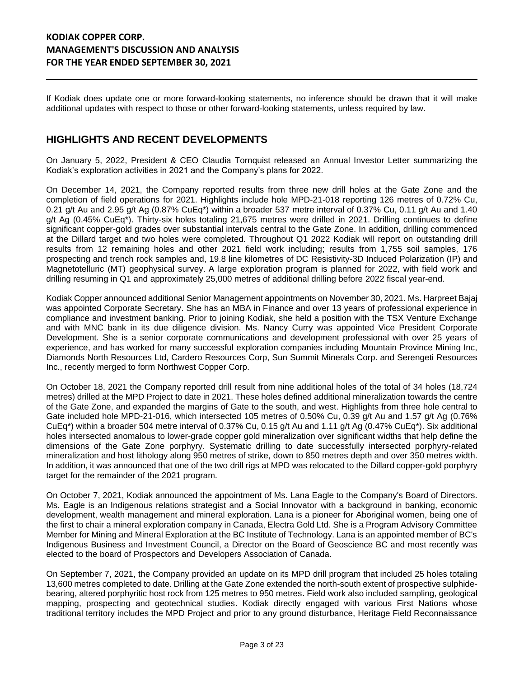If Kodiak does update one or more forward-looking statements, no inference should be drawn that it will make additional updates with respect to those or other forward-looking statements, unless required by law.

### **HIGHLIGHTS AND RECENT DEVELOPMENTS**

On January 5, 2022, President & CEO Claudia Tornquist released an Annual Investor Letter summarizing the Kodiak's exploration activities in 2021 and the Company's plans for 2022.

On December 14, 2021, the Company reported results from three new drill holes at the Gate Zone and the completion of field operations for 2021. Highlights include hole MPD-21-018 reporting 126 metres of 0.72% Cu, 0.21 g/t Au and 2.95 g/t Ag (0.87% CuEq\*) within a broader 537 metre interval of 0.37% Cu, 0.11 g/t Au and 1.40 g/t Ag (0.45% CuEq\*). Thirty-six holes totaling 21,675 metres were drilled in 2021. Drilling continues to define significant copper-gold grades over substantial intervals central to the Gate Zone. In addition, drilling commenced at the Dillard target and two holes were completed. Throughout Q1 2022 Kodiak will report on outstanding drill results from 12 remaining holes and other 2021 field work including; results from 1,755 soil samples, 176 prospecting and trench rock samples and, 19.8 line kilometres of DC Resistivity-3D Induced Polarization (IP) and Magnetotelluric (MT) geophysical survey. A large exploration program is planned for 2022, with field work and drilling resuming in Q1 and approximately 25,000 metres of additional drilling before 2022 fiscal year-end.

Kodiak Copper announced additional Senior Management appointments on November 30, 2021. Ms. Harpreet Bajaj was appointed Corporate Secretary. She has an MBA in Finance and over 13 years of professional experience in compliance and investment banking. Prior to joining Kodiak, she held a position with the TSX Venture Exchange and with MNC bank in its due diligence division. Ms. Nancy Curry was appointed Vice President Corporate Development. She is a senior corporate communications and development professional with over 25 years of experience, and has worked for many successful exploration companies including Mountain Province Mining Inc, Diamonds North Resources Ltd, Cardero Resources Corp, Sun Summit Minerals Corp. and Serengeti Resources Inc., recently merged to form Northwest Copper Corp.

On October 18, 2021 the Company reported drill result from nine additional holes of the total of 34 holes (18,724 metres) drilled at the MPD Project to date in 2021. These holes defined additional mineralization towards the centre of the Gate Zone, and expanded the margins of Gate to the south, and west. Highlights from three hole central to Gate included hole MPD-21-016, which intersected 105 metres of 0.50% Cu, 0.39 g/t Au and 1.57 g/t Ag (0.76% CuEq\*) within a broader 504 metre interval of 0.37% Cu, 0.15 g/t Au and 1.11 g/t Ag (0.47% CuEq\*). Six additional holes intersected anomalous to lower-grade copper gold mineralization over significant widths that help define the dimensions of the Gate Zone porphyry. Systematic drilling to date successfully intersected porphyry-related mineralization and host lithology along 950 metres of strike, down to 850 metres depth and over 350 metres width. In addition, it was announced that one of the two drill rigs at MPD was relocated to the Dillard copper-gold porphyry target for the remainder of the 2021 program.

On October 7, 2021, Kodiak announced the appointment of Ms. Lana Eagle to the Company's Board of Directors. Ms. Eagle is an Indigenous relations strategist and a Social Innovator with a background in banking, economic development, wealth management and mineral exploration. Lana is a pioneer for Aboriginal women, being one of the first to chair a mineral exploration company in Canada, Electra Gold Ltd. She is a Program Advisory Committee Member for Mining and Mineral Exploration at the BC Institute of Technology. Lana is an appointed member of BC's Indigenous Business and Investment Council, a Director on the Board of Geoscience BC and most recently was elected to the board of Prospectors and Developers Association of Canada.

On September 7, 2021, the Company provided an update on its MPD drill program that included 25 holes totaling 13,600 metres completed to date. Drilling at the Gate Zone extended the north-south extent of prospective sulphidebearing, altered porphyritic host rock from 125 metres to 950 metres. Field work also included sampling, geological mapping, prospecting and geotechnical studies. Kodiak directly engaged with various First Nations whose traditional territory includes the MPD Project and prior to any ground disturbance, Heritage Field Reconnaissance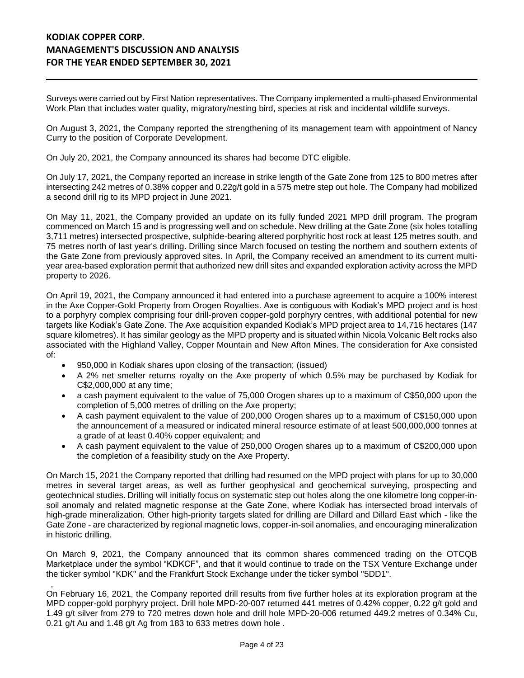Surveys were carried out by First Nation representatives. The Company implemented a multi-phased Environmental Work Plan that includes water quality, migratory/nesting bird, species at risk and incidental wildlife surveys.

On August 3, 2021, the Company reported the strengthening of its management team with appointment of Nancy Curry to the position of Corporate Development.

On July 20, 2021, the Company announced its shares had become DTC eligible.

On July 17, 2021, the Company reported an increase in strike length of the Gate Zone from 125 to 800 metres after intersecting 242 metres of 0.38% copper and 0.22g/t gold in a 575 metre step out hole. The Company had mobilized a second drill rig to its MPD project in June 2021.

On May 11, 2021, the Company provided an update on its fully funded 2021 MPD drill program. The program commenced on March 15 and is progressing well and on schedule. New drilling at the Gate Zone (six holes totalling 3,711 metres) intersected prospective, sulphide-bearing altered porphyritic host rock at least 125 metres south, and 75 metres north of last year's drilling. Drilling since March focused on testing the northern and southern extents of the Gate Zone from previously approved sites. In April, the Company received an amendment to its current multiyear area-based exploration permit that authorized new drill sites and expanded exploration activity across the MPD property to 2026.

On April 19, 2021, the Company announced it had entered into a purchase agreement to acquire a 100% interest in the Axe Copper-Gold Property from Orogen Royalties. Axe is contiguous with Kodiak's MPD project and is host to a porphyry complex comprising four drill-proven copper-gold porphyry centres, with additional potential for new targets like Kodiak's Gate Zone. The Axe acquisition expanded Kodiak's MPD project area to 14,716 hectares (147 square kilometres). It has similar geology as the MPD property and is situated within Nicola Volcanic Belt rocks also associated with the Highland Valley, Copper Mountain and New Afton Mines. The consideration for Axe consisted of:

- 950,000 in Kodiak shares upon closing of the transaction; (issued)
- A 2% net smelter returns royalty on the Axe property of which 0.5% may be purchased by Kodiak for C\$2,000,000 at any time;
- a cash payment equivalent to the value of 75,000 Orogen shares up to a maximum of C\$50,000 upon the completion of 5,000 metres of drilling on the Axe property;
- A cash payment equivalent to the value of 200,000 Orogen shares up to a maximum of C\$150,000 upon the announcement of a measured or indicated mineral resource estimate of at least 500,000,000 tonnes at a grade of at least 0.40% copper equivalent; and
- A cash payment equivalent to the value of 250,000 Orogen shares up to a maximum of C\$200,000 upon the completion of a feasibility study on the Axe Property.

On March 15, 2021 the Company reported that drilling had resumed on the MPD project with plans for up to 30,000 metres in several target areas, as well as further geophysical and geochemical surveying, prospecting and geotechnical studies. Drilling will initially focus on systematic step out holes along the one kilometre long copper-insoil anomaly and related magnetic response at the Gate Zone, where Kodiak has intersected broad intervals of high-grade mineralization. Other high-priority targets slated for drilling are Dillard and Dillard East which - like the Gate Zone - are characterized by regional magnetic lows, copper-in-soil anomalies, and encouraging mineralization in historic drilling.

On March 9, 2021, the Company announced that its common shares commenced trading on the OTCQB Marketplace under the symbol "KDKCF", and that it would continue to trade on the TSX Venture Exchange under the ticker symbol "KDK" and the Frankfurt Stock Exchange under the ticker symbol "5DD1".

, On February 16, 2021, the Company reported drill results from five further holes at its exploration program at the MPD copper-gold porphyry project. Drill hole MPD-20-007 returned 441 metres of 0.42% copper, 0.22 g/t gold and 1.49 g/t silver from 279 to 720 metres down hole and drill hole MPD-20-006 returned 449.2 metres of 0.34% Cu, 0.21 g/t Au and 1.48 g/t Ag from 183 to 633 metres down hole .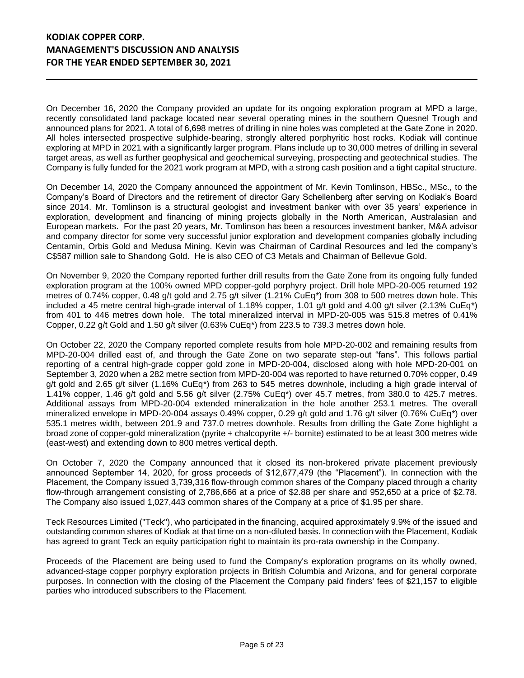On December 16, 2020 the Company provided an update for its ongoing exploration program at MPD a large, recently consolidated land package located near several operating mines in the southern Quesnel Trough and announced plans for 2021. A total of 6,698 metres of drilling in nine holes was completed at the Gate Zone in 2020. All holes intersected prospective sulphide-bearing, strongly altered porphyritic host rocks. Kodiak will continue exploring at MPD in 2021 with a significantly larger program. Plans include up to 30,000 metres of drilling in several target areas, as well as further geophysical and geochemical surveying, prospecting and geotechnical studies. The Company is fully funded for the 2021 work program at MPD, with a strong cash position and a tight capital structure.

On December 14, 2020 the Company announced the appointment of Mr. Kevin Tomlinson, HBSc., MSc., to the Company's Board of Directors and the retirement of director Gary Schellenberg after serving on Kodiak's Board since 2014. Mr. Tomlinson is a structural geologist and investment banker with over 35 years' experience in exploration, development and financing of mining projects globally in the North American, Australasian and European markets. For the past 20 years, Mr. Tomlinson has been a resources investment banker, M&A advisor and company director for some very successful junior exploration and development companies globally including Centamin, Orbis Gold and Medusa Mining. Kevin was Chairman of Cardinal Resources and led the company's C\$587 million sale to Shandong Gold. He is also CEO of C3 Metals and Chairman of Bellevue Gold.

On November 9, 2020 the Company reported further drill results from the Gate Zone from its ongoing fully funded exploration program at the 100% owned MPD copper-gold porphyry project. Drill hole MPD-20-005 returned 192 metres of 0.74% copper, 0.48 g/t gold and 2.75 g/t silver (1.21% CuEq\*) from 308 to 500 metres down hole. This included a 45 metre central high-grade interval of 1.18% copper, 1.01 g/t gold and 4.00 g/t silver (2.13% CuEq\*) from 401 to 446 metres down hole. The total mineralized interval in MPD-20-005 was 515.8 metres of 0.41% Copper, 0.22 g/t Gold and 1.50 g/t silver (0.63% CuEq\*) from 223.5 to 739.3 metres down hole.

On October 22, 2020 the Company reported complete results from hole MPD-20-002 and remaining results from MPD-20-004 drilled east of, and through the Gate Zone on two separate step-out "fans". This follows partial reporting of a central high-grade copper gold zone in MPD-20-004, disclosed along with hole MPD-20-001 on September 3, 2020 when a 282 metre section from MPD-20-004 was reported to have returned 0.70% copper, 0.49 g/t gold and 2.65 g/t silver (1.16% CuEq\*) from 263 to 545 metres downhole, including a high grade interval of 1.41% copper, 1.46 g/t gold and 5.56 g/t silver (2.75% CuEq\*) over 45.7 metres, from 380.0 to 425.7 metres. Additional assays from MPD-20-004 extended mineralization in the hole another 253.1 metres. The overall mineralized envelope in MPD-20-004 assays 0.49% copper, 0.29 g/t gold and 1.76 g/t silver (0.76% CuEq\*) over 535.1 metres width, between 201.9 and 737.0 metres downhole. Results from drilling the Gate Zone highlight a broad zone of copper-gold mineralization (pyrite + chalcopyrite +/- bornite) estimated to be at least 300 metres wide (east-west) and extending down to 800 metres vertical depth.

On October 7, 2020 the Company announced that it closed its non-brokered private placement previously announced September 14, 2020, for gross proceeds of \$12,677,479 (the "Placement"). In connection with the Placement, the Company issued 3,739,316 flow-through common shares of the Company placed through a charity flow-through arrangement consisting of 2,786,666 at a price of \$2.88 per share and 952,650 at a price of \$2.78. The Company also issued 1,027,443 common shares of the Company at a price of \$1.95 per share.

Teck Resources Limited ("Teck"), who participated in the financing, acquired approximately 9.9% of the issued and outstanding common shares of Kodiak at that time on a non-diluted basis. In connection with the Placement, Kodiak has agreed to grant Teck an equity participation right to maintain its pro-rata ownership in the Company.

Proceeds of the Placement are being used to fund the Company's exploration programs on its wholly owned, advanced-stage copper porphyry exploration projects in British Columbia and Arizona, and for general corporate purposes. In connection with the closing of the Placement the Company paid finders' fees of \$21,157 to eligible parties who introduced subscribers to the Placement.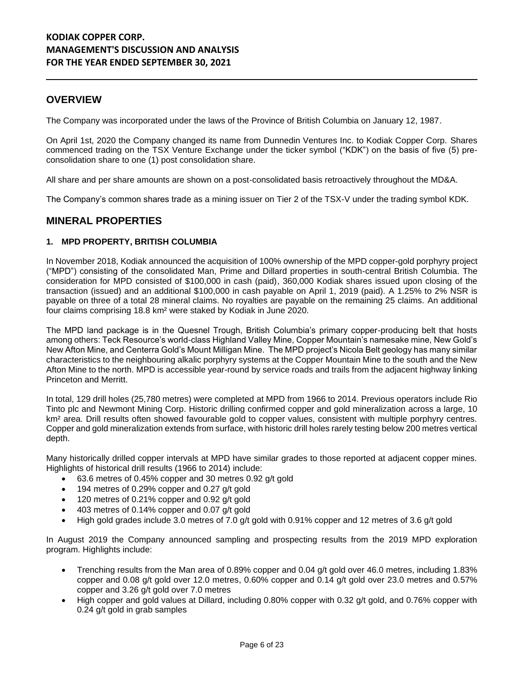### **OVERVIEW**

The Company was incorporated under the laws of the Province of British Columbia on January 12, 1987.

On April 1st, 2020 the Company changed its name from Dunnedin Ventures Inc. to Kodiak Copper Corp. Shares commenced trading on the TSX Venture Exchange under the ticker symbol ("KDK") on the basis of five (5) preconsolidation share to one (1) post consolidation share.

All share and per share amounts are shown on a post-consolidated basis retroactively throughout the MD&A.

The Company's common shares trade as a mining issuer on Tier 2 of the TSX-V under the trading symbol KDK.

### **MINERAL PROPERTIES**

#### **1. MPD PROPERTY, BRITISH COLUMBIA**

In November 2018, Kodiak announced the acquisition of 100% ownership of the MPD copper-gold porphyry project ("MPD") consisting of the consolidated Man, Prime and Dillard properties in south-central British Columbia. The consideration for MPD consisted of \$100,000 in cash (paid), 360,000 Kodiak shares issued upon closing of the transaction (issued) and an additional \$100,000 in cash payable on April 1, 2019 (paid). A 1.25% to 2% NSR is payable on three of a total 28 mineral claims. No royalties are payable on the remaining 25 claims. An additional four claims comprising 18.8 km² were staked by Kodiak in June 2020.

The MPD land package is in the Quesnel Trough, British Columbia's primary copper-producing belt that hosts among others: Teck Resource's world-class Highland Valley Mine, Copper Mountain's namesake mine, New Gold's New Afton Mine, and Centerra Gold's Mount Milligan Mine. The MPD project's Nicola Belt geology has many similar characteristics to the neighbouring alkalic porphyry systems at the Copper Mountain Mine to the south and the New Afton Mine to the north. MPD is accessible year-round by service roads and trails from the adjacent highway linking Princeton and Merritt.

In total, 129 drill holes (25,780 metres) were completed at MPD from 1966 to 2014. Previous operators include Rio Tinto plc and Newmont Mining Corp. Historic drilling confirmed copper and gold mineralization across a large, 10 km<sup>2</sup> area. Drill results often showed favourable gold to copper values, consistent with multiple porphyry centres. Copper and gold mineralization extends from surface, with historic drill holes rarely testing below 200 metres vertical depth.

Many historically drilled copper intervals at MPD have similar grades to those reported at adjacent copper mines. Highlights of historical drill results (1966 to 2014) include:

- 63.6 metres of 0.45% copper and 30 metres 0.92 g/t gold
- 194 metres of 0.29% copper and 0.27 g/t gold
- 120 metres of 0.21% copper and 0.92 g/t gold
- 403 metres of 0.14% copper and 0.07 g/t gold
- High gold grades include 3.0 metres of 7.0 g/t gold with 0.91% copper and 12 metres of 3.6 g/t gold

In August 2019 the Company announced sampling and prospecting results from the 2019 MPD exploration program. Highlights include:

- Trenching results from the Man area of 0.89% copper and 0.04 g/t gold over 46.0 metres, including 1.83% copper and 0.08 g/t gold over 12.0 metres, 0.60% copper and 0.14 g/t gold over 23.0 metres and 0.57% copper and 3.26 g/t gold over 7.0 metres
- High copper and gold values at Dillard, including 0.80% copper with 0.32 g/t gold, and 0.76% copper with 0.24 g/t gold in grab samples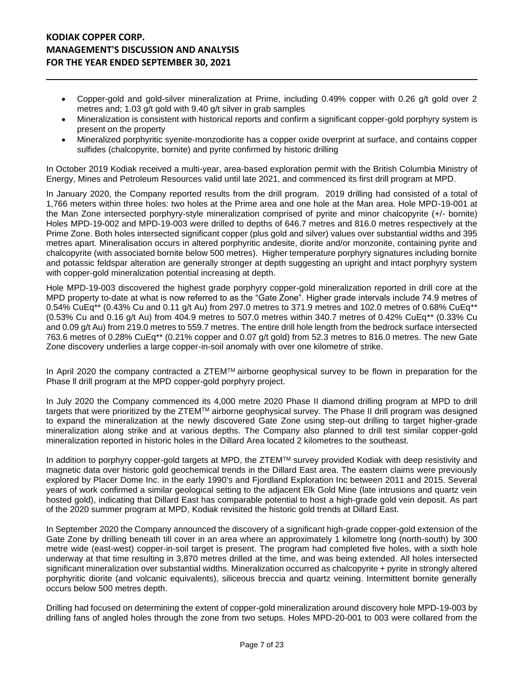- Copper-gold and gold-silver mineralization at Prime, including 0.49% copper with 0.26 g/t gold over 2 metres and; 1.03 g/t gold with 9.40 g/t silver in grab samples
- Mineralization is consistent with historical reports and confirm a significant copper-gold porphyry system is present on the property
- Mineralized porphyritic syenite-monzodiorite has a copper oxide overprint at surface, and contains copper sulfides (chalcopyrite, bornite) and pyrite confirmed by historic drilling

In October 2019 Kodiak received a multi-year, area-based exploration permit with the British Columbia Ministry of Energy, Mines and Petroleum Resources valid until late 2021, and commenced its first drill program at MPD.

In January 2020, the Company reported results from the drill program. 2019 drilling had consisted of a total of 1,766 meters within three holes: two holes at the Prime area and one hole at the Man area. Hole MPD-19-001 at the Man Zone intersected porphyry-style mineralization comprised of pyrite and minor chalcopyrite (+/- bornite) Holes MPD-19-002 and MPD-19-003 were drilled to depths of 646.7 metres and 816.0 metres respectively at the Prime Zone. Both holes intersected significant copper (plus gold and silver) values over substantial widths and 395 metres apart. Mineralisation occurs in altered porphyritic andesite, diorite and/or monzonite, containing pyrite and chalcopyrite (with associated bornite below 500 metres). Higher temperature porphyry signatures including bornite and potassic feldspar alteration are generally stronger at depth suggesting an upright and intact porphyry system with copper-gold mineralization potential increasing at depth.

Hole MPD-19-003 discovered the highest grade porphyry copper-gold mineralization reported in drill core at the MPD property to-date at what is now referred to as the "Gate Zone". Higher grade intervals include 74.9 metres of 0.54% CuEq\*\* (0.43% Cu and 0.11 g/t Au) from 297.0 metres to 371.9 metres and 102.0 metres of 0.68% CuEq\*\* (0.53% Cu and 0.16 g/t Au) from 404.9 metres to 507.0 metres within 340.7 metres of 0.42% CuEq\*\* (0.33% Cu and 0.09 g/t Au) from 219.0 metres to 559.7 metres. The entire drill hole length from the bedrock surface intersected 763.6 metres of 0.28% CuEq\*\* (0.21% copper and 0.07 g/t gold) from 52.3 metres to 816.0 metres. The new Gate Zone discovery underlies a large copper-in-soil anomaly with over one kilometre of strike.

In April 2020 the company contracted a ZTEM<sup>TM</sup> airborne geophysical survey to be flown in preparation for the Phase ll drill program at the MPD copper-gold porphyry project.

In July 2020 the Company commenced its 4,000 metre 2020 Phase II diamond drilling program at MPD to drill targets that were prioritized by the ZTEM™ airborne geophysical survey. The Phase II drill program was designed to expand the mineralization at the newly discovered Gate Zone using step-out drilling to target higher-grade mineralization along strike and at various depths. The Company also planned to drill test similar copper-gold mineralization reported in historic holes in the Dillard Area located 2 kilometres to the southeast.

In addition to porphyry copper-gold targets at MPD, the ZTEMTM survey provided Kodiak with deep resistivity and magnetic data over historic gold geochemical trends in the Dillard East area. The eastern claims were previously explored by Placer Dome Inc. in the early 1990's and Fjordland Exploration Inc between 2011 and 2015. Several years of work confirmed a similar geological setting to the adjacent Elk Gold Mine (late intrusions and quartz vein hosted gold), indicating that Dillard East has comparable potential to host a high-grade gold vein deposit. As part of the 2020 summer program at MPD, Kodiak revisited the historic gold trends at Dillard East.

In September 2020 the Company announced the discovery of a significant high-grade copper-gold extension of the Gate Zone by drilling beneath till cover in an area where an approximately 1 kilometre long (north-south) by 300 metre wide (east-west) copper-in-soil target is present. The program had completed five holes, with a sixth hole underway at that time resulting in 3,870 metres drilled at the time, and was being extended. All holes intersected significant mineralization over substantial widths. Mineralization occurred as chalcopyrite + pyrite in strongly altered porphyritic diorite (and volcanic equivalents), siliceous breccia and quartz veining. Intermittent bornite generally occurs below 500 metres depth.

Drilling had focused on determining the extent of copper-gold mineralization around discovery hole MPD-19-003 by drilling fans of angled holes through the zone from two setups. Holes MPD-20-001 to 003 were collared from the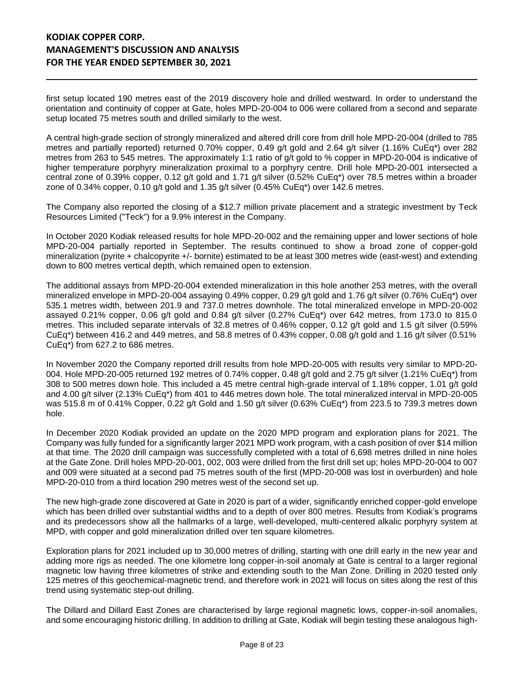first setup located 190 metres east of the 2019 discovery hole and drilled westward. In order to understand the orientation and continuity of copper at Gate, holes MPD-20-004 to 006 were collared from a second and separate setup located 75 metres south and drilled similarly to the west.

A central high-grade section of strongly mineralized and altered drill core from drill hole MPD-20-004 (drilled to 785 metres and partially reported) returned 0.70% copper, 0.49 g/t gold and 2.64 g/t silver (1.16% CuEq\*) over 282 metres from 263 to 545 metres. The approximately 1:1 ratio of g/t gold to % copper in MPD-20-004 is indicative of higher temperature porphyry mineralization proximal to a porphyry centre. Drill hole MPD-20-001 intersected a central zone of 0.39% copper, 0.12 g/t gold and 1.71 g/t silver (0.52% CuEq\*) over 78.5 metres within a broader zone of 0.34% copper, 0.10 g/t gold and 1.35 g/t silver (0.45% CuEq\*) over 142.6 metres.

The Company also reported the closing of a \$12.7 million private placement and a strategic investment by Teck Resources Limited ("Teck") for a 9.9% interest in the Company.

In October 2020 Kodiak released results for hole MPD-20-002 and the remaining upper and lower sections of hole MPD-20-004 partially reported in September. The results continued to show a broad zone of copper-gold mineralization (pyrite + chalcopyrite +/- bornite) estimated to be at least 300 metres wide (east-west) and extending down to 800 metres vertical depth, which remained open to extension.

The additional assays from MPD-20-004 extended mineralization in this hole another 253 metres, with the overall mineralized envelope in MPD-20-004 assaying 0.49% copper, 0.29 g/t gold and 1.76 g/t silver (0.76% CuEq\*) over 535.1 metres width, between 201.9 and 737.0 metres downhole. The total mineralized envelope in MPD-20-002 assayed 0.21% copper, 0.06 g/t gold and 0.84 g/t silver (0.27% CuEq\*) over 642 metres, from 173.0 to 815.0 metres. This included separate intervals of 32.8 metres of 0.46% copper, 0.12 g/t gold and 1.5 g/t silver (0.59% CuEq\*) between 416.2 and 449 metres, and 58.8 metres of 0.43% copper, 0.08 g/t gold and 1.16 g/t silver (0.51% CuEq\*) from 627.2 to 686 metres.

In November 2020 the Company reported drill results from hole MPD-20-005 with results very similar to MPD-20- 004. Hole MPD-20-005 returned 192 metres of 0.74% copper, 0.48 g/t gold and 2.75 g/t silver (1.21% CuEq\*) from 308 to 500 metres down hole. This included a 45 metre central high-grade interval of 1.18% copper, 1.01 g/t gold and 4.00 g/t silver (2.13% CuEq\*) from 401 to 446 metres down hole. The total mineralized interval in MPD-20-005 was 515.8 m of 0.41% Copper, 0.22 g/t Gold and 1.50 g/t silver (0.63% CuEq<sup>\*</sup>) from 223.5 to 739.3 metres down hole.

In December 2020 Kodiak provided an update on the 2020 MPD program and exploration plans for 2021. The Company was fully funded for a significantly larger 2021 MPD work program, with a cash position of over \$14 million at that time. The 2020 drill campaign was successfully completed with a total of 6,698 metres drilled in nine holes at the Gate Zone. Drill holes MPD-20-001, 002, 003 were drilled from the first drill set up; holes MPD-20-004 to 007 and 009 were situated at a second pad 75 metres south of the first (MPD-20-008 was lost in overburden) and hole MPD-20-010 from a third location 290 metres west of the second set up.

The new high-grade zone discovered at Gate in 2020 is part of a wider, significantly enriched copper-gold envelope which has been drilled over substantial widths and to a depth of over 800 metres. Results from Kodiak's programs and its predecessors show all the hallmarks of a large, well-developed, multi-centered alkalic porphyry system at MPD, with copper and gold mineralization drilled over ten square kilometres.

Exploration plans for 2021 included up to 30,000 metres of drilling, starting with one drill early in the new year and adding more rigs as needed. The one kilometre long copper-in-soil anomaly at Gate is central to a larger regional magnetic low having three kilometres of strike and extending south to the Man Zone. Drilling in 2020 tested only 125 metres of this geochemical-magnetic trend, and therefore work in 2021 will focus on sites along the rest of this trend using systematic step-out drilling.

The Dillard and Dillard East Zones are characterised by large regional magnetic lows, copper-in-soil anomalies, and some encouraging historic drilling. In addition to drilling at Gate, Kodiak will begin testing these analogous high-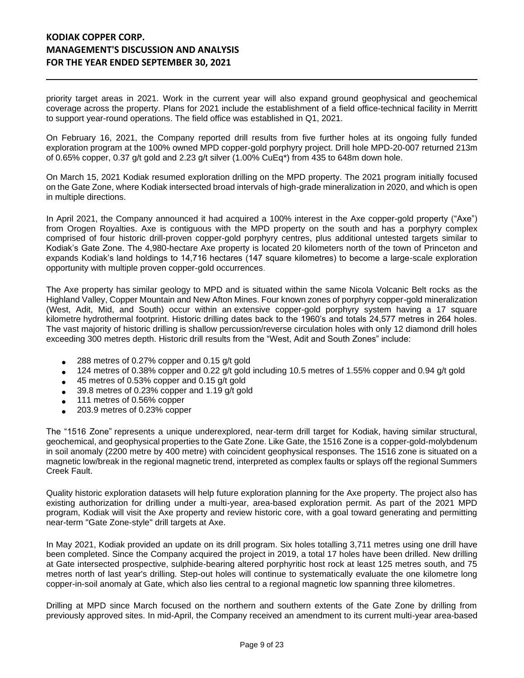priority target areas in 2021. Work in the current year will also expand ground geophysical and geochemical coverage across the property. Plans for 2021 include the establishment of a field office-technical facility in Merritt to support year-round operations. The field office was established in Q1, 2021.

On February 16, 2021, the Company reported drill results from five further holes at its ongoing fully funded exploration program at the 100% owned MPD copper-gold porphyry project. Drill hole MPD-20-007 returned 213m of 0.65% copper, 0.37 g/t gold and 2.23 g/t silver (1.00% CuEq\*) from 435 to 648m down hole.

On March 15, 2021 Kodiak resumed exploration drilling on the MPD property. The 2021 program initially focused on the Gate Zone, where Kodiak intersected broad intervals of high-grade mineralization in 2020, and which is open in multiple directions.

In April 2021, the Company announced it had acquired a 100% interest in the Axe copper-gold property ("Axe") from Orogen Royalties. Axe is contiguous with the MPD property on the south and has a porphyry complex comprised of four historic drill-proven copper-gold porphyry centres, plus additional untested targets similar to Kodiak's Gate Zone. The 4,980-hectare Axe property is located 20 kilometers north of the town of Princeton and expands Kodiak's land holdings to 14,716 hectares (147 square kilometres) to become a large-scale exploration opportunity with multiple proven copper-gold occurrences.

The Axe property has similar geology to MPD and is situated within the same Nicola Volcanic Belt rocks as the Highland Valley, Copper Mountain and New Afton Mines. Four known zones of porphyry copper-gold mineralization (West, Adit, Mid, and South) occur within an extensive copper-gold porphyry system having a 17 square kilometre hydrothermal footprint. Historic drilling dates back to the 1960's and totals 24,577 metres in 264 holes. The vast majority of historic drilling is shallow percussion/reverse circulation holes with only 12 diamond drill holes exceeding 300 metres depth. Historic drill results from the "West, Adit and South Zones" include:

- 288 metres of 0.27% copper and 0.15 g/t gold
- $\bullet$  124 metres of 0.38% copper and 0.22 g/t gold including 10.5 metres of 1.55% copper and 0.94 g/t gold
- 45 metres of 0.53% copper and 0.15 g/t gold
- $\bullet$  39.8 metres of 0.23% copper and 1.19 g/t gold
- 111 metres of 0.56% copper
- 203.9 metres of 0.23% copper

The "1516 Zone" represents a unique underexplored, near-term drill target for Kodiak, having similar structural, geochemical, and geophysical properties to the Gate Zone. Like Gate, the 1516 Zone is a copper-gold-molybdenum in soil anomaly (2200 metre by 400 metre) with coincident geophysical responses. The 1516 zone is situated on a magnetic low/break in the regional magnetic trend, interpreted as complex faults or splays off the regional Summers Creek Fault.

Quality historic exploration datasets will help future exploration planning for the Axe property. The project also has existing authorization for drilling under a multi-year, area-based exploration permit. As part of the 2021 MPD program, Kodiak will visit the Axe property and review historic core, with a goal toward generating and permitting near-term "Gate Zone-style" drill targets at Axe.

In May 2021, Kodiak provided an update on its drill program. Six holes totalling 3,711 metres using one drill have been completed. Since the Company acquired the project in 2019, a total 17 holes have been drilled. New drilling at Gate intersected prospective, sulphide-bearing altered porphyritic host rock at least 125 metres south, and 75 metres north of last year's drilling. Step-out holes will continue to systematically evaluate the one kilometre long copper-in-soil anomaly at Gate, which also lies central to a regional magnetic low spanning three kilometres.

Drilling at MPD since March focused on the northern and southern extents of the Gate Zone by drilling from previously approved sites. In mid-April, the Company received an amendment to its current multi-year area-based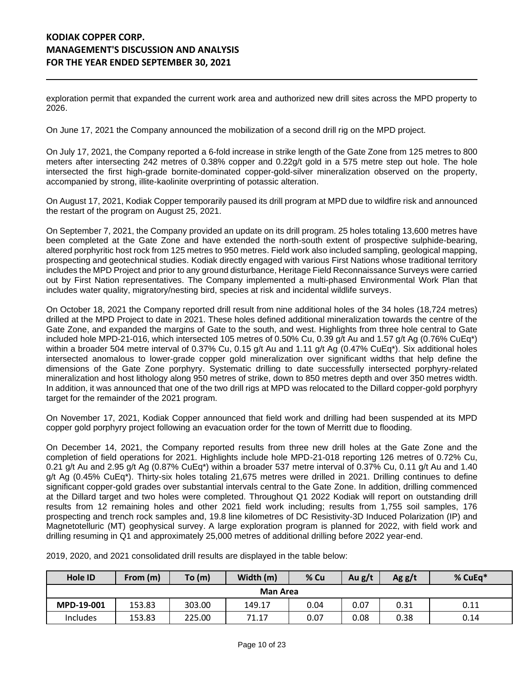exploration permit that expanded the current work area and authorized new drill sites across the MPD property to 2026.

On June 17, 2021 the Company announced the mobilization of a second drill rig on the MPD project.

On July 17, 2021, the Company reported a 6-fold increase in strike length of the Gate Zone from 125 metres to 800 meters after intersecting 242 metres of 0.38% copper and 0.22g/t gold in a 575 metre step out hole. The hole intersected the first high-grade bornite-dominated copper-gold-silver mineralization observed on the property, accompanied by strong, illite-kaolinite overprinting of potassic alteration.

On August 17, 2021, Kodiak Copper temporarily paused its drill program at MPD due to wildfire risk and announced the restart of the program on August 25, 2021.

On September 7, 2021, the Company provided an update on its drill program. 25 holes totaling 13,600 metres have been completed at the Gate Zone and have extended the north-south extent of prospective sulphide-bearing, altered porphyritic host rock from 125 metres to 950 metres. Field work also included sampling, geological mapping, prospecting and geotechnical studies. Kodiak directly engaged with various First Nations whose traditional territory includes the MPD Project and prior to any ground disturbance, Heritage Field Reconnaissance Surveys were carried out by First Nation representatives. The Company implemented a multi-phased Environmental Work Plan that includes water quality, migratory/nesting bird, species at risk and incidental wildlife surveys.

On October 18, 2021 the Company reported drill result from nine additional holes of the 34 holes (18,724 metres) drilled at the MPD Project to date in 2021. These holes defined additional mineralization towards the centre of the Gate Zone, and expanded the margins of Gate to the south, and west. Highlights from three hole central to Gate included hole MPD-21-016, which intersected 105 metres of 0.50% Cu, 0.39 g/t Au and 1.57 g/t Ag (0.76% CuEq\*) within a broader 504 metre interval of 0.37% Cu, 0.15 g/t Au and 1.11 g/t Ag (0.47% CuEq\*). Six additional holes intersected anomalous to lower-grade copper gold mineralization over significant widths that help define the dimensions of the Gate Zone porphyry. Systematic drilling to date successfully intersected porphyry-related mineralization and host lithology along 950 metres of strike, down to 850 metres depth and over 350 metres width. In addition, it was announced that one of the two drill rigs at MPD was relocated to the Dillard copper-gold porphyry target for the remainder of the 2021 program.

On November 17, 2021, Kodiak Copper announced that field work and drilling had been suspended at its MPD copper gold porphyry project following an evacuation order for the town of Merritt due to flooding.

On December 14, 2021, the Company reported results from three new drill holes at the Gate Zone and the completion of field operations for 2021. Highlights include hole MPD-21-018 reporting 126 metres of 0.72% Cu, 0.21 g/t Au and 2.95 g/t Ag (0.87% CuEq\*) within a broader 537 metre interval of 0.37% Cu, 0.11 g/t Au and 1.40 g/t Ag (0.45% CuEq\*). Thirty-six holes totaling 21,675 metres were drilled in 2021. Drilling continues to define significant copper-gold grades over substantial intervals central to the Gate Zone. In addition, drilling commenced at the Dillard target and two holes were completed. Throughout Q1 2022 Kodiak will report on outstanding drill results from 12 remaining holes and other 2021 field work including; results from 1,755 soil samples, 176 prospecting and trench rock samples and, 19.8 line kilometres of DC Resistivity-3D Induced Polarization (IP) and Magnetotelluric (MT) geophysical survey. A large exploration program is planned for 2022, with field work and drilling resuming in Q1 and approximately 25,000 metres of additional drilling before 2022 year-end.

| Hole ID         | From (m) | To(m)  | Width (m) | % Cu | Au $g/t$ | Ag $g/t$ | % CuEq* |
|-----------------|----------|--------|-----------|------|----------|----------|---------|
| <b>Man Area</b> |          |        |           |      |          |          |         |
| MPD-19-001      | 153.83   | 303.00 | 149.17    | 0.04 | 0.07     | 0.31     | 0.11    |
| Includes        | 153.83   | 225.00 | 71.17     | 0.07 | 0.08     | 0.38     | 0.14    |

2019, 2020, and 2021 consolidated drill results are displayed in the table below: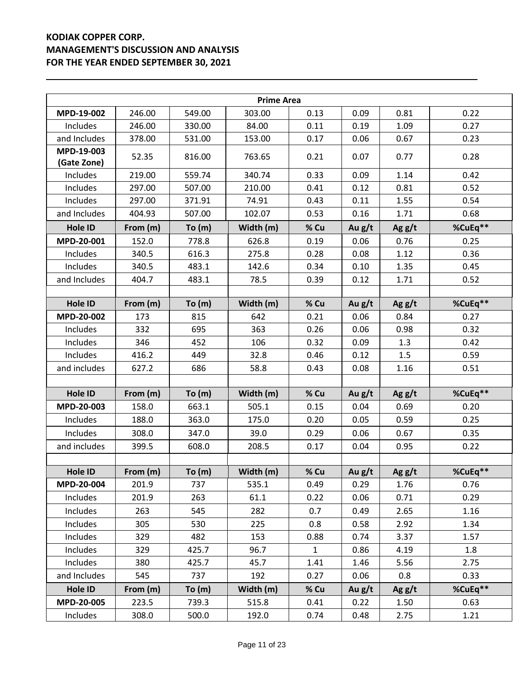|                           | <b>Prime Area</b> |          |           |              |        |          |         |
|---------------------------|-------------------|----------|-----------|--------------|--------|----------|---------|
| MPD-19-002                | 246.00            | 549.00   | 303.00    | 0.13         | 0.09   | 0.81     | 0.22    |
| Includes                  | 246.00            | 330.00   | 84.00     | 0.11         | 0.19   | 1.09     | 0.27    |
| and Includes              | 378.00            | 531.00   | 153.00    | 0.17         | 0.06   | 0.67     | 0.23    |
| MPD-19-003<br>(Gate Zone) | 52.35             | 816.00   | 763.65    | 0.21         | 0.07   | 0.77     | 0.28    |
| Includes                  | 219.00            | 559.74   | 340.74    | 0.33         | 0.09   | 1.14     | 0.42    |
| Includes                  | 297.00            | 507.00   | 210.00    | 0.41         | 0.12   | 0.81     | 0.52    |
| Includes                  | 297.00            | 371.91   | 74.91     | 0.43         | 0.11   | 1.55     | 0.54    |
| and Includes              | 404.93            | 507.00   | 102.07    | 0.53         | 0.16   | 1.71     | 0.68    |
| Hole ID                   | From (m)          | To (m)   | Width (m) | % Cu         | Au g/t | Ag $g/t$ | %CuEq** |
| MPD-20-001                | 152.0             | 778.8    | 626.8     | 0.19         | 0.06   | 0.76     | 0.25    |
| Includes                  | 340.5             | 616.3    | 275.8     | 0.28         | 0.08   | $1.12\,$ | 0.36    |
| Includes                  | 340.5             | 483.1    | 142.6     | 0.34         | 0.10   | 1.35     | 0.45    |
| and Includes              | 404.7             | 483.1    | 78.5      | 0.39         | 0.12   | 1.71     | 0.52    |
|                           |                   |          |           |              |        |          |         |
| Hole ID                   | From (m)          | To $(m)$ | Width (m) | % Cu         | Au g/t | Ag $g/t$ | %CuEq** |
| MPD-20-002                | 173               | 815      | 642       | 0.21         | 0.06   | 0.84     | 0.27    |
| Includes                  | 332               | 695      | 363       | 0.26         | 0.06   | 0.98     | 0.32    |
| Includes                  | 346               | 452      | 106       | 0.32         | 0.09   | 1.3      | 0.42    |
| Includes                  | 416.2             | 449      | 32.8      | 0.46         | 0.12   | 1.5      | 0.59    |
| and includes              | 627.2             | 686      | 58.8      | 0.43         | 0.08   | 1.16     | 0.51    |
|                           |                   |          |           |              |        |          |         |
| Hole ID                   | From (m)          | To (m)   | Width (m) | % Cu         | Au g/t | Ag $g/t$ | %CuEq** |
| MPD-20-003                | 158.0             | 663.1    | 505.1     | 0.15         | 0.04   | 0.69     | 0.20    |
| Includes                  | 188.0             | 363.0    | 175.0     | 0.20         | 0.05   | 0.59     | 0.25    |
| Includes                  | 308.0             | 347.0    | 39.0      | 0.29         | 0.06   | 0.67     | 0.35    |
| and includes              | 399.5             | 608.0    | 208.5     | 0.17         | 0.04   | 0.95     | 0.22    |
|                           |                   |          |           |              |        |          |         |
| <b>Hole ID</b>            | From (m)          | To $(m)$ | Width (m) | % Cu         | Au g/t | Agg/t    | %CuEq** |
| MPD-20-004                | 201.9             | 737      | 535.1     | 0.49         | 0.29   | 1.76     | 0.76    |
| Includes                  | 201.9             | 263      | 61.1      | 0.22         | 0.06   | 0.71     | 0.29    |
| Includes                  | 263               | 545      | 282       | 0.7          | 0.49   | 2.65     | 1.16    |
| Includes                  | 305               | 530      | 225       | 0.8          | 0.58   | 2.92     | 1.34    |
| Includes                  | 329               | 482      | 153       | 0.88         | 0.74   | 3.37     | 1.57    |
| Includes                  | 329               | 425.7    | 96.7      | $\mathbf{1}$ | 0.86   | 4.19     | 1.8     |
| Includes                  | 380               | 425.7    | 45.7      | 1.41         | 1.46   | 5.56     | 2.75    |
| and Includes              | 545               | 737      | 192       | 0.27         | 0.06   | 0.8      | 0.33    |
| Hole ID                   | From (m)          | To(m)    | Width (m) | % Cu         | Au g/t | Ag $g/t$ | %CuEq** |
| MPD-20-005                | 223.5             | 739.3    | 515.8     | 0.41         | 0.22   | 1.50     | 0.63    |
| Includes                  | 308.0             | 500.0    | 192.0     | 0.74         | 0.48   | 2.75     | 1.21    |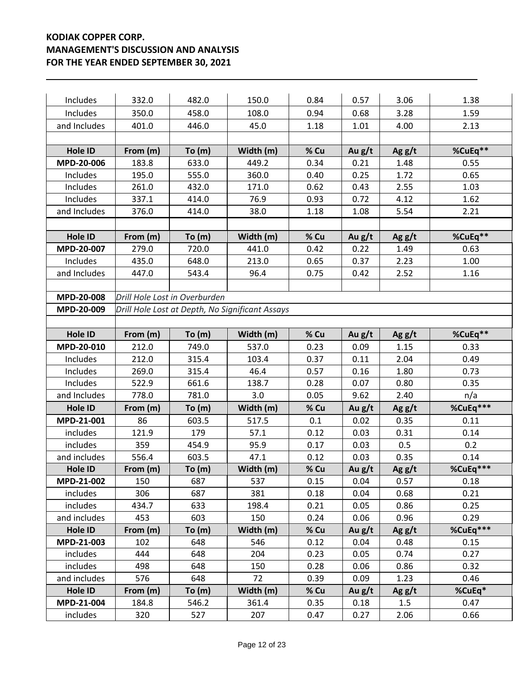| Includes       | 332.0    | 482.0                         | 150.0                                           | 0.84 | 0.57     | 3.06     | 1.38     |
|----------------|----------|-------------------------------|-------------------------------------------------|------|----------|----------|----------|
| Includes       | 350.0    | 458.0                         | 108.0                                           | 0.94 | 0.68     | 3.28     | 1.59     |
| and Includes   | 401.0    | 446.0                         | 45.0                                            | 1.18 | 1.01     | 4.00     | 2.13     |
|                |          |                               |                                                 |      |          |          |          |
| Hole ID        | From (m) | To(m)                         | Width (m)                                       | % Cu | Au $g/t$ | Ag $g/t$ | %CuEq**  |
| MPD-20-006     | 183.8    | 633.0                         | 449.2                                           | 0.34 | 0.21     | 1.48     | 0.55     |
| Includes       | 195.0    | 555.0                         | 360.0                                           | 0.40 | 0.25     | 1.72     | 0.65     |
| Includes       | 261.0    | 432.0                         | 171.0                                           | 0.62 | 0.43     | 2.55     | 1.03     |
| Includes       | 337.1    | 414.0                         | 76.9                                            | 0.93 | 0.72     | 4.12     | 1.62     |
| and Includes   | 376.0    | 414.0                         | 38.0                                            | 1.18 | 1.08     | 5.54     | 2.21     |
|                |          |                               |                                                 |      |          |          |          |
| Hole ID        | From (m) | To (m)                        | Width (m)                                       | % Cu | Au g/t   | Ag $g/t$ | %CuEq**  |
| MPD-20-007     | 279.0    | 720.0                         | 441.0                                           | 0.42 | 0.22     | 1.49     | 0.63     |
| Includes       | 435.0    | 648.0                         | 213.0                                           | 0.65 | 0.37     | 2.23     | 1.00     |
| and Includes   | 447.0    | 543.4                         | 96.4                                            | 0.75 | 0.42     | 2.52     | 1.16     |
|                |          |                               |                                                 |      |          |          |          |
| MPD-20-008     |          | Drill Hole Lost in Overburden |                                                 |      |          |          |          |
| MPD-20-009     |          |                               | Drill Hole Lost at Depth, No Significant Assays |      |          |          |          |
|                |          |                               |                                                 |      |          |          |          |
| Hole ID        | From (m) | To (m)                        | Width (m)                                       | % Cu | Au g/t   | Ag $g/t$ | %CuEq**  |
| MPD-20-010     | 212.0    | 749.0                         | 537.0                                           | 0.23 | 0.09     | 1.15     | 0.33     |
| Includes       | 212.0    | 315.4                         | 103.4                                           | 0.37 | 0.11     | 2.04     | 0.49     |
| Includes       | 269.0    | 315.4                         | 46.4                                            | 0.57 | 0.16     | 1.80     | 0.73     |
| Includes       | 522.9    | 661.6                         | 138.7                                           | 0.28 | 0.07     | 0.80     | 0.35     |
| and Includes   | 778.0    | 781.0                         | 3.0                                             | 0.05 | 9.62     | 2.40     | n/a      |
| <b>Hole ID</b> | From (m) | To (m)                        | Width (m)                                       | % Cu | Au g/t   | Ag $g/t$ | %CuEq*** |
| MPD-21-001     | 86       | 603.5                         | 517.5                                           | 0.1  | 0.02     | 0.35     | 0.11     |
| includes       | 121.9    | 179                           | 57.1                                            | 0.12 | 0.03     | 0.31     | 0.14     |
| includes       | 359      | 454.9                         | 95.9                                            | 0.17 | 0.03     | 0.5      | 0.2      |
| and includes   | 556.4    | 603.5                         | 47.1                                            | 0.12 | 0.03     | 0.35     | 0.14     |
| Hole ID        | From (m) | To (m)                        | Width (m)                                       | % Cu | Au $g/t$ | Ag $g/t$ | %CuEq*** |
| MPD-21-002     | 150      | 687                           | 537                                             | 0.15 | 0.04     | 0.57     | 0.18     |
| includes       | 306      | 687                           | 381                                             | 0.18 | 0.04     | 0.68     | 0.21     |
| includes       | 434.7    | 633                           | 198.4                                           | 0.21 | 0.05     | 0.86     | 0.25     |
| and includes   | 453      | 603                           | 150                                             | 0.24 | 0.06     | 0.96     | 0.29     |
| Hole ID        | From (m) | To(m)                         | Width (m)                                       | % Cu | Au g/t   | Ag $g/t$ | %CuEq*** |
| MPD-21-003     | 102      | 648                           | 546                                             | 0.12 | 0.04     | 0.48     | 0.15     |
| includes       | 444      | 648                           | 204                                             | 0.23 | 0.05     | 0.74     | 0.27     |
| includes       | 498      | 648                           | 150                                             | 0.28 | 0.06     | 0.86     | 0.32     |
| and includes   | 576      | 648                           | 72                                              | 0.39 | 0.09     | 1.23     | 0.46     |
| Hole ID        | From (m) | To(m)                         | Width (m)                                       | % Cu | Au g/t   | Ag $g/t$ | %CuEq*   |
| MPD-21-004     | 184.8    | 546.2                         | 361.4                                           | 0.35 | 0.18     | 1.5      | 0.47     |
| includes       | 320      | 527                           | 207                                             | 0.47 | 0.27     | 2.06     | 0.66     |
|                |          |                               |                                                 |      |          |          |          |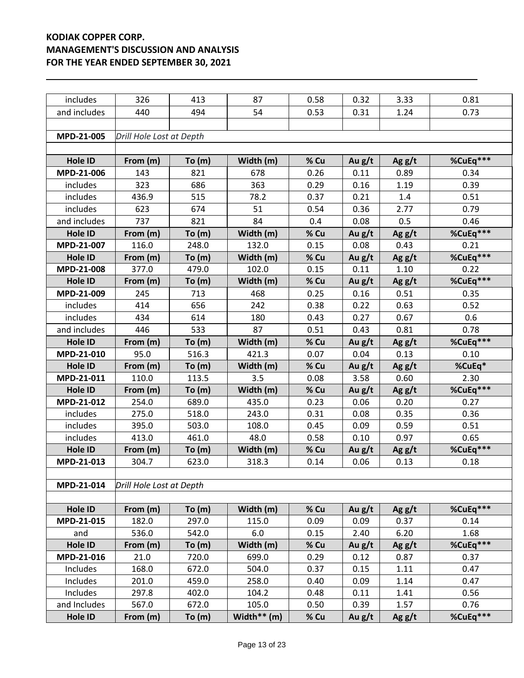| includes       | 326                      | 413    | 87             | 0.58 | 0.32   | 3.33     | 0.81     |
|----------------|--------------------------|--------|----------------|------|--------|----------|----------|
| and includes   | 440                      | 494    | 54             | 0.53 | 0.31   | 1.24     | 0.73     |
|                |                          |        |                |      |        |          |          |
| MPD-21-005     | Drill Hole Lost at Depth |        |                |      |        |          |          |
|                |                          |        |                |      |        |          |          |
| Hole ID        | From (m)                 | To (m) | Width (m)      | % Cu | Au g/t | Ag $g/t$ | %CuEq*** |
| MPD-21-006     | 143                      | 821    | 678            | 0.26 | 0.11   | 0.89     | 0.34     |
| includes       | 323                      | 686    | 363            | 0.29 | 0.16   | 1.19     | 0.39     |
| includes       | 436.9                    | 515    | 78.2           | 0.37 | 0.21   | 1.4      | 0.51     |
| includes       | 623                      | 674    | 51             | 0.54 | 0.36   | 2.77     | 0.79     |
| and includes   | 737                      | 821    | 84             | 0.4  | 0.08   | 0.5      | 0.46     |
| <b>Hole ID</b> | From (m)                 | To (m) | Width (m)      | % Cu | Au g/t | Ag $g/t$ | %CuEq*** |
| MPD-21-007     | 116.0                    | 248.0  | 132.0          | 0.15 | 0.08   | 0.43     | 0.21     |
| Hole ID        | From (m)                 | To(m)  | Width (m)      | % Cu | Au g/t | Ag $g/t$ | %CuEq*** |
| MPD-21-008     | 377.0                    | 479.0  | 102.0          | 0.15 | 0.11   | 1.10     | 0.22     |
| <b>Hole ID</b> | From (m)                 | To (m) | Width (m)      | % Cu | Au g/t | Ag $g/t$ | %CuEq*** |
| MPD-21-009     | 245                      | 713    | 468            | 0.25 | 0.16   | 0.51     | 0.35     |
| includes       | 414                      | 656    | 242            | 0.38 | 0.22   | 0.63     | 0.52     |
| includes       | 434                      | 614    | 180            | 0.43 | 0.27   | 0.67     | 0.6      |
| and includes   | 446                      | 533    | 87             | 0.51 | 0.43   | 0.81     | 0.78     |
| Hole ID        | From (m)                 | To (m) | Width (m)      | % Cu | Au g/t | Ag $g/t$ | %CuEq*** |
| MPD-21-010     | 95.0                     | 516.3  | 421.3          | 0.07 | 0.04   | 0.13     | 0.10     |
| Hole ID        | From (m)                 | To(m)  | Width (m)      | % Cu | Au g/t | Ag $g/t$ | %CuEq*   |
| MPD-21-011     | 110.0                    | 113.5  | 3.5            | 0.08 | 3.58   | 0.60     | 2.30     |
| Hole ID        | From (m)                 | To(m)  | Width (m)      | % Cu | Au g/t | Ag $g/t$ | %CuEq*** |
| MPD-21-012     | 254.0                    | 689.0  | 435.0          | 0.23 | 0.06   | 0.20     | 0.27     |
| includes       | 275.0                    | 518.0  | 243.0          | 0.31 | 0.08   | 0.35     | 0.36     |
| includes       | 395.0                    | 503.0  | 108.0          | 0.45 | 0.09   | 0.59     | 0.51     |
| includes       | 413.0                    | 461.0  | 48.0           | 0.58 | 0.10   | 0.97     | 0.65     |
| Hole ID        | From (m)                 | To (m) | Width (m)      | % Cu | Au g/t | Ag $g/t$ | %CuEq*** |
| MPD-21-013     | 304.7                    | 623.0  | 318.3          | 0.14 | 0.06   | 0.13     | 0.18     |
|                |                          |        |                |      |        |          |          |
| MPD-21-014     | Drill Hole Lost at Depth |        |                |      |        |          |          |
|                |                          |        |                |      |        |          |          |
| Hole ID        | From (m)                 | To(m)  | Width (m)      | % Cu | Au g/t | Ag $g/t$ | %CuEq*** |
| MPD-21-015     | 182.0                    | 297.0  | 115.0          | 0.09 | 0.09   | 0.37     | 0.14     |
| and            | 536.0                    | 542.0  | 6.0            | 0.15 | 2.40   | 6.20     | 1.68     |
| Hole ID        | From (m)                 | To(m)  | Width (m)      | % Cu | Au g/t | Ag $g/t$ | %CuEq*** |
| MPD-21-016     | 21.0                     | 720.0  | 699.0          | 0.29 | 0.12   | 0.87     | 0.37     |
| Includes       | 168.0                    | 672.0  | 504.0          | 0.37 | 0.15   | 1.11     | 0.47     |
| Includes       | 201.0                    | 459.0  | 258.0          | 0.40 | 0.09   | 1.14     | 0.47     |
| Includes       | 297.8                    | 402.0  | 104.2          | 0.48 | 0.11   | 1.41     | 0.56     |
| and Includes   | 567.0                    | 672.0  | 105.0          | 0.50 | 0.39   | 1.57     | 0.76     |
| Hole ID        | From (m)                 | To(m)  | Width ** $(m)$ | % Cu | Au g/t | Ag $g/t$ | %CuEq*** |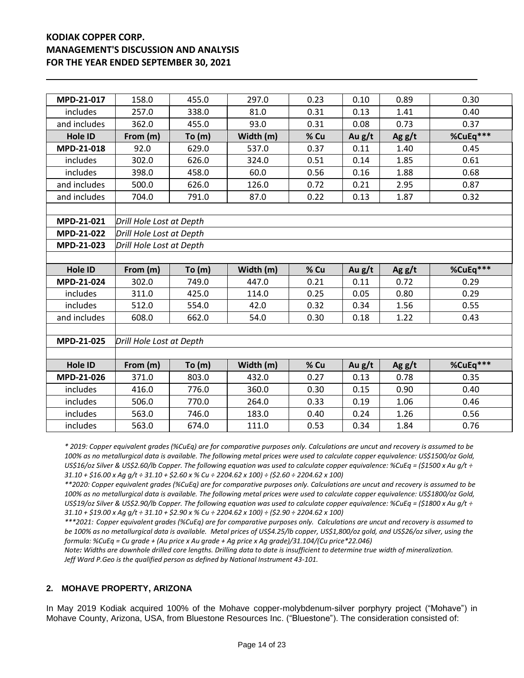| MPD-21-017     | 158.0                    | 455.0                    | 297.0     | 0.23 | 0.10   | 0.89     | 0.30     |  |
|----------------|--------------------------|--------------------------|-----------|------|--------|----------|----------|--|
| includes       | 257.0                    | 338.0                    | 81.0      | 0.31 | 0.13   | 1.41     | 0.40     |  |
| and includes   | 362.0                    | 455.0                    | 93.0      | 0.31 | 0.08   | 0.73     | 0.37     |  |
| <b>Hole ID</b> | From (m)                 | To(m)                    | Width (m) | % Cu | Au g/t | Ag $g/t$ | %CuEq*** |  |
| MPD-21-018     | 92.0                     | 629.0                    | 537.0     | 0.37 | 0.11   | 1.40     | 0.45     |  |
| includes       | 302.0                    | 626.0                    | 324.0     | 0.51 | 0.14   | 1.85     | 0.61     |  |
| includes       | 398.0                    | 458.0                    | 60.0      | 0.56 | 0.16   | 1.88     | 0.68     |  |
| and includes   | 500.0                    | 626.0                    | 126.0     | 0.72 | 0.21   | 2.95     | 0.87     |  |
| and includes   | 704.0                    | 791.0                    | 87.0      | 0.22 | 0.13   | 1.87     | 0.32     |  |
|                |                          |                          |           |      |        |          |          |  |
| MPD-21-021     | Drill Hole Lost at Depth |                          |           |      |        |          |          |  |
| MPD-21-022     |                          | Drill Hole Lost at Depth |           |      |        |          |          |  |
| MPD-21-023     |                          | Drill Hole Lost at Depth |           |      |        |          |          |  |
|                |                          |                          |           |      |        |          |          |  |
|                |                          |                          |           |      |        |          |          |  |
| <b>Hole ID</b> | From (m)                 | To (m)                   | Width (m) | % Cu | Au g/t | Ag $g/t$ | %CuEq*** |  |
| MPD-21-024     | 302.0                    | 749.0                    | 447.0     | 0.21 | 0.11   | 0.72     | 0.29     |  |
| includes       | 311.0                    | 425.0                    | 114.0     | 0.25 | 0.05   | 0.80     | 0.29     |  |
| includes       | 512.0                    | 554.0                    | 42.0      | 0.32 | 0.34   | 1.56     | 0.55     |  |
| and includes   | 608.0                    | 662.0                    | 54.0      | 0.30 | 0.18   | 1.22     | 0.43     |  |
|                |                          |                          |           |      |        |          |          |  |
| MPD-21-025     | Drill Hole Lost at Depth |                          |           |      |        |          |          |  |
|                |                          |                          |           |      |        |          |          |  |
| <b>Hole ID</b> | From (m)                 | To (m)                   | Width (m) | % Cu | Au g/t | Ag $g/t$ | %CuEq*** |  |
| MPD-21-026     | 371.0                    | 803.0                    | 432.0     | 0.27 | 0.13   | 0.78     | 0.35     |  |
| includes       | 416.0                    | 776.0                    | 360.0     | 0.30 | 0.15   | 0.90     | 0.40     |  |
| includes       | 506.0                    | 770.0                    | 264.0     | 0.33 | 0.19   | 1.06     | 0.46     |  |
| includes       | 563.0                    | 746.0                    | 183.0     | 0.40 | 0.24   | 1.26     | 0.56     |  |

*\* 2019: Copper equivalent grades (%CuEq) are for comparative purposes only. Calculations are uncut and recovery is assumed to be 100% as no metallurgical data is available. The following metal prices were used to calculate copper equivalence: US\$1500/oz Gold, US\$16/oz Silver & US\$2.60/lb Copper. The following equation was used to calculate copper equivalence: %CuEq = (\$1500 x Au g/t ÷ 31.10 + \$16.00 x Ag g/t ÷ 31.10 + \$2.60 x % Cu ÷ 2204.62 x 100) ÷ (\$2.60 ÷ 2204.62 x 100)*

*\*\*2020: Copper equivalent grades (%CuEq) are for comparative purposes only. Calculations are uncut and recovery is assumed to be 100% as no metallurgical data is available. The following metal prices were used to calculate copper equivalence: US\$1800/oz Gold, US\$19/oz Silver & US\$2.90/lb Copper. The following equation was used to calculate copper equivalence: %CuEq = (\$1800 x Au g/t ÷ 31.10 + \$19.00 x Ag g/t ÷ 31.10 + \$2.90 x % Cu ÷ 2204.62 x 100) ÷ (\$2.90 ÷ 2204.62 x 100)*

*\*\*\*2021: Copper equivalent grades (%CuEq) are for comparative purposes only. Calculations are uncut and recovery is assumed to be 100% as no metallurgical data is available. Metal prices of US\$4.25/lb copper, US\$1,800/oz gold, and US\$26/oz silver, using the formula: %CuEq = Cu grade + (Au price x Au grade + Ag price x Ag grade)/31.104/(Cu price\*22.046)*

*Note: Widths are downhole drilled core lengths. Drilling data to date is insufficient to determine true width of mineralization. Jeff Ward P.Geo is the qualified person as defined by National Instrument 43-101.*

#### **2. MOHAVE PROPERTY, ARIZONA**

In May 2019 Kodiak acquired 100% of the Mohave copper-molybdenum-silver porphyry project ("Mohave") in Mohave County, Arizona, USA, from Bluestone Resources Inc. ("Bluestone"). The consideration consisted of: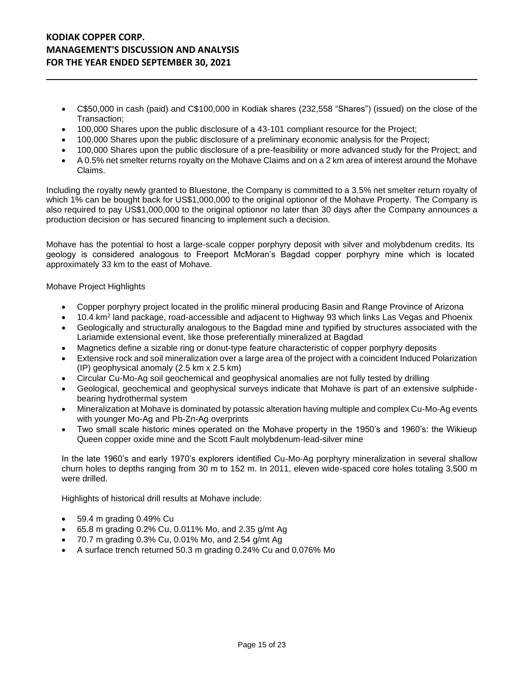- C\$50,000 in cash (paid) and C\$100,000 in Kodiak shares (232,558 "Shares") (issued) on the close of the Transaction;
- 100,000 Shares upon the public disclosure of a 43-101 compliant resource for the Project;
- 100,000 Shares upon the public disclosure of a preliminary economic analysis for the Project;
- 100,000 Shares upon the public disclosure of a pre-feasibility or more advanced study for the Project; and
- A 0.5% net smelter returns royalty on the Mohave Claims and on a 2 km area of interest around the Mohave Claims.

Including the royalty newly granted to Bluestone, the Company is committed to a 3.5% net smelter return royalty of which 1% can be bought back for US\$1,000,000 to the original optionor of the Mohave Property. The Company is also required to pay US\$1,000,000 to the original optionor no later than 30 days after the Company announces a production decision or has secured financing to implement such a decision.

Mohave has the potential to host a large-scale copper porphyry deposit with silver and molybdenum credits. Its geology is considered analogous to Freeport McMoran's Bagdad copper porphyry mine which is located approximately 33 km to the east of Mohave.

#### Mohave Project Highlights

- Copper porphyry project located in the prolific mineral producing Basin and Range Province of Arizona
- 10.4 km<sup>2</sup> land package, road-accessible and adjacent to Highway 93 which links Las Vegas and Phoenix
- Geologically and structurally analogous to the Bagdad mine and typified by structures associated with the Lariamide extensional event, like those preferentially mineralized at Bagdad
- Magnetics define a sizable ring or donut-type feature characteristic of copper porphyry deposits
- Extensive rock and soil mineralization over a large area of the project with a coincident Induced Polarization (IP) geophysical anomaly (2.5 km x 2.5 km)
- Circular Cu-Mo-Ag soil geochemical and geophysical anomalies are not fully tested by drilling
- Geological, geochemical and geophysical surveys indicate that Mohave is part of an extensive sulphidebearing hydrothermal system
- Mineralization at Mohave is dominated by potassic alteration having multiple and complex Cu-Mo-Ag events with younger Mo-Ag and Pb-Zn-Ag overprints
- Two small scale historic mines operated on the Mohave property in the 1950's and 1960's: the Wikieup Queen copper oxide mine and the Scott Fault molybdenum-lead-silver mine

In the late 1960's and early 1970's explorers identified Cu-Mo-Ag porphyry mineralization in several shallow churn holes to depths ranging from 30 m to 152 m. In 2011, eleven wide-spaced core holes totaling 3,500 m were drilled.

Highlights of historical drill results at Mohave include:

- 59.4 m grading 0.49% Cu
- 65.8 m grading 0.2% Cu, 0.011% Mo, and 2.35 g/mt Ag
- 70.7 m grading 0.3% Cu, 0.01% Mo, and 2.54 g/mt Ag
- A surface trench returned 50.3 m grading 0.24% Cu and 0.076% Mo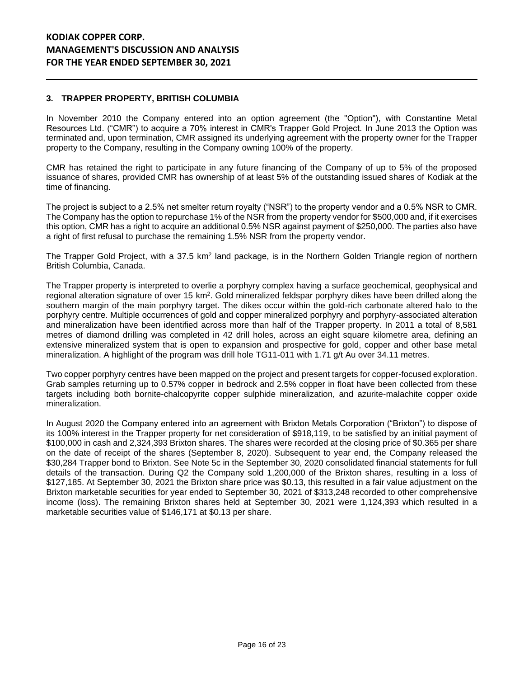#### **3. TRAPPER PROPERTY, BRITISH COLUMBIA**

In November 2010 the Company entered into an option agreement (the "Option"), with Constantine Metal Resources Ltd. ("CMR") to acquire a 70% interest in CMR's Trapper Gold Project. In June 2013 the Option was terminated and, upon termination, CMR assigned its underlying agreement with the property owner for the Trapper property to the Company, resulting in the Company owning 100% of the property.

CMR has retained the right to participate in any future financing of the Company of up to 5% of the proposed issuance of shares, provided CMR has ownership of at least 5% of the outstanding issued shares of Kodiak at the time of financing.

The project is subject to a 2.5% net smelter return royalty ("NSR") to the property vendor and a 0.5% NSR to CMR. The Company has the option to repurchase 1% of the NSR from the property vendor for \$500,000 and, if it exercises this option, CMR has a right to acquire an additional 0.5% NSR against payment of \$250,000. The parties also have a right of first refusal to purchase the remaining 1.5% NSR from the property vendor.

The Trapper Gold Project, with a 37.5 km<sup>2</sup> land package, is in the Northern Golden Triangle region of northern British Columbia, Canada.

The Trapper property is interpreted to overlie a porphyry complex having a surface geochemical, geophysical and regional alteration signature of over 15 km<sup>2</sup>. Gold mineralized feldspar porphyry dikes have been drilled along the southern margin of the main porphyry target. The dikes occur within the gold-rich carbonate altered halo to the porphyry centre. Multiple occurrences of gold and copper mineralized porphyry and porphyry-associated alteration and mineralization have been identified across more than half of the Trapper property. In 2011 a total of 8,581 metres of diamond drilling was completed in 42 drill holes, across an eight square kilometre area, defining an extensive mineralized system that is open to expansion and prospective for gold, copper and other base metal mineralization. A highlight of the program was drill hole TG11-011 with 1.71 g/t Au over 34.11 metres.

Two copper porphyry centres have been mapped on the project and present targets for copper-focused exploration. Grab samples returning up to 0.57% copper in bedrock and 2.5% copper in float have been collected from these targets including both bornite-chalcopyrite copper sulphide mineralization, and azurite-malachite copper oxide mineralization.

In August 2020 the Company entered into an agreement with Brixton Metals Corporation ("Brixton") to dispose of its 100% interest in the Trapper property for net consideration of \$918,119, to be satisfied by an initial payment of \$100,000 in cash and 2,324,393 Brixton shares. The shares were recorded at the closing price of \$0.365 per share on the date of receipt of the shares (September 8, 2020). Subsequent to year end, the Company released the \$30,284 Trapper bond to Brixton. See Note 5c in the September 30, 2020 consolidated financial statements for full details of the transaction. During Q2 the Company sold 1,200,000 of the Brixton shares, resulting in a loss of \$127,185. At September 30, 2021 the Brixton share price was \$0.13, this resulted in a fair value adjustment on the Brixton marketable securities for year ended to September 30, 2021 of \$313,248 recorded to other comprehensive income (loss). The remaining Brixton shares held at September 30, 2021 were 1,124,393 which resulted in a marketable securities value of \$146,171 at \$0.13 per share.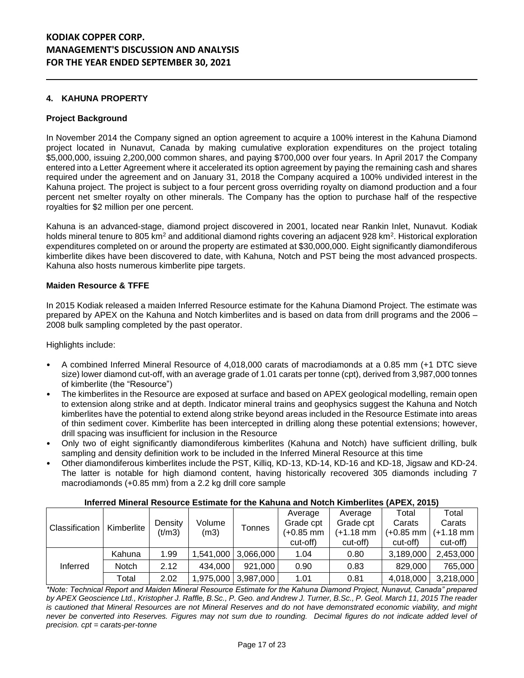#### **4. KAHUNA PROPERTY**

#### **Project Background**

In November 2014 the Company signed an option agreement to acquire a 100% interest in the Kahuna Diamond project located in Nunavut, Canada by making cumulative exploration expenditures on the project totaling \$5,000,000, issuing 2,200,000 common shares, and paying \$700,000 over four years. In April 2017 the Company entered into a Letter Agreement where it accelerated its option agreement by paying the remaining cash and shares required under the agreement and on January 31, 2018 the Company acquired a 100% undivided interest in the Kahuna project. The project is subject to a four percent gross overriding royalty on diamond production and a four percent net smelter royalty on other minerals. The Company has the option to purchase half of the respective royalties for \$2 million per one percent.

Kahuna is an advanced-stage, diamond project discovered in 2001, located near Rankin Inlet, Nunavut. Kodiak holds mineral tenure to 805 km<sup>2</sup> and additional diamond rights covering an adjacent 928 km<sup>2</sup>. Historical exploration expenditures completed on or around the property are estimated at \$30,000,000. Eight significantly diamondiferous kimberlite dikes have been discovered to date, with Kahuna, Notch and PST being the most advanced prospects. Kahuna also hosts numerous kimberlite pipe targets.

#### **Maiden Resource & TFFE**

In 2015 Kodiak released a maiden Inferred Resource estimate for the Kahuna Diamond Project. The estimate was prepared by APEX on the Kahuna and Notch kimberlites and is based on data from drill programs and the 2006 – 2008 bulk sampling completed by the past operator.

Highlights include:

- A combined Inferred Mineral Resource of 4,018,000 carats of macrodiamonds at a 0.85 mm (+1 DTC sieve size) lower diamond cut-off, with an average grade of 1.01 carats per tonne (cpt), derived from 3,987,000 tonnes of kimberlite (the "Resource")
- The kimberlites in the Resource are exposed at surface and based on APEX geological modelling, remain open to extension along strike and at depth. Indicator mineral trains and geophysics suggest the Kahuna and Notch kimberlites have the potential to extend along strike beyond areas included in the Resource Estimate into areas of thin sediment cover. Kimberlite has been intercepted in drilling along these potential extensions; however, drill spacing was insufficient for inclusion in the Resource
- Only two of eight significantly diamondiferous kimberlites (Kahuna and Notch) have sufficient drilling, bulk sampling and density definition work to be included in the Inferred Mineral Resource at this time
- Other diamondiferous kimberlites include the PST, Killiq, KD-13, KD-14, KD-16 and KD-18, Jigsaw and KD-24. The latter is notable for high diamond content, having historically recovered 305 diamonds including 7 macrodiamonds (+0.85 mm) from a 2.2 kg drill core sample

|                |              |         |         | Average               | Average   | Total     | Total       |             |
|----------------|--------------|---------|---------|-----------------------|-----------|-----------|-------------|-------------|
| Classification | Kimberlite   | Density | Volume  | Tonnes                | Grade cpt | Grade cpt | Carats      | Carats      |
|                |              | (t/m3)  | (m3)    |                       | (+0.85 mm | (+1.18 mm | $(+0.85$ mm | $(+1.18$ mm |
|                |              |         |         |                       | cut-off)  | cut-off)  | cut-off)    | cut-off)    |
|                | Kahuna       | 1.99    |         | 1,541,000   3,066,000 | 1.04      | 0.80      | 3,189,000   | 2,453,000   |
| Inferred       | <b>Notch</b> | 2.12    | 434,000 | 921,000               | 0.90      | 0.83      | 829,000     | 765,000     |
|                | Total        | 2.02    |         | 1,975,000   3,987,000 | 1.01      | 0.81      | 4,018,000   | 3,218,000   |

#### **Inferred Mineral Resource Estimate for the Kahuna and Notch Kimberlites (APEX, 2015)**

*\*Note: Technical Report and Maiden Mineral Resource Estimate for the Kahuna Diamond Project, Nunavut, Canada" prepared by APEX Geoscience Ltd., Kristopher J. Raffle, B.Sc., P. Geo. and Andrew J. Turner, B.Sc., P. Geol. March 11, 2015 The reader is cautioned that Mineral Resources are not Mineral Reserves and do not have demonstrated economic viability, and might never be converted into Reserves. Figures may not sum due to rounding. Decimal figures do not indicate added level of precision. cpt = carats-per-tonne*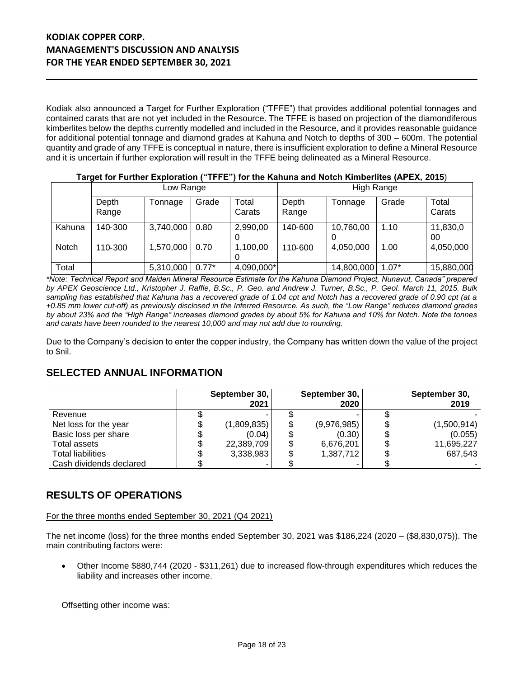Kodiak also announced a Target for Further Exploration ("TFFE") that provides additional potential tonnages and contained carats that are not yet included in the Resource. The TFFE is based on projection of the diamondiferous kimberlites below the depths currently modelled and included in the Resource, and it provides reasonable guidance for additional potential tonnage and diamond grades at Kahuna and Notch to depths of 300 – 600m. The potential quantity and grade of any TFFE is conceptual in nature, there is insufficient exploration to define a Mineral Resource and it is uncertain if further exploration will result in the TFFE being delineated as a Mineral Resource.

|        | .<br>Low Range |           |         |                 | High Range     |            |         |                 |
|--------|----------------|-----------|---------|-----------------|----------------|------------|---------|-----------------|
|        | Depth<br>Range | Tonnage   | Grade   | Total<br>Carats | Depth<br>Range | Tonnage    | Grade   | Total<br>Carats |
| Kahuna | 140-300        | 3,740,000 | 0.80    | 2,990,00        | 140-600        | 10,760,00  | 1.10    | 11,830,0<br>00  |
| Notch  | 110-300        | 1,570,000 | 0.70    | 1,100,00        | 110-600        | 4,050,000  | 1.00    | 4,050,000       |
| Total  |                | 5,310,000 | $0.77*$ | 4,090,000*      |                | 14,800,000 | $1.07*$ | 15,880,000      |

#### **Target for Further Exploration ("TFFE") for the Kahuna and Notch Kimberlites (APEX, 2015**)

*\*Note: Technical Report and Maiden Mineral Resource Estimate for the Kahuna Diamond Project, Nunavut, Canada" prepared by APEX Geoscience Ltd., Kristopher J. Raffle, B.Sc., P. Geo. and Andrew J. Turner, B.Sc., P. Geol. March 11, 2015. Bulk sampling has established that Kahuna has a recovered grade of 1.04 cpt and Notch has a recovered grade of 0.90 cpt (at a +0.85 mm lower cut-off) as previously disclosed in the Inferred Resource. As such, the "Low Range" reduces diamond grades by about 23% and the "High Range" increases diamond grades by about 5% for Kahuna and 10% for Notch. Note the tonnes and carats have been rounded to the nearest 10,000 and may not add due to rounding.*

Due to the Company's decision to enter the copper industry, the Company has written down the value of the project to \$nil.

### **SELECTED ANNUAL INFORMATION**

|                          | September 30,     |    | September 30, | September 30, |
|--------------------------|-------------------|----|---------------|---------------|
|                          | 2021              |    | 2020          | 2019          |
| Revenue                  |                   |    |               |               |
| Net loss for the year    | \$<br>(1,809,835) | \$ | (9,976,985)   | (1,500,914)   |
| Basic loss per share     | (0.04)            | \$ | (0.30)        | (0.055)       |
| Total assets             | \$<br>22,389,709  | S  | 6,676,201     | 11,695,227    |
| <b>Total liabilities</b> | \$<br>3,338,983   | \$ | 1,387,712     | 687.543       |
| Cash dividends declared  |                   |    |               |               |

# **RESULTS OF OPERATIONS**

For the three months ended September 30, 2021 (Q4 2021)

The net income (loss) for the three months ended September 30, 2021 was \$186,224 (2020 – (\$8,830,075)). The main contributing factors were:

• Other Income \$880,744 (2020 - \$311,261) due to increased flow-through expenditures which reduces the liability and increases other income.

Offsetting other income was: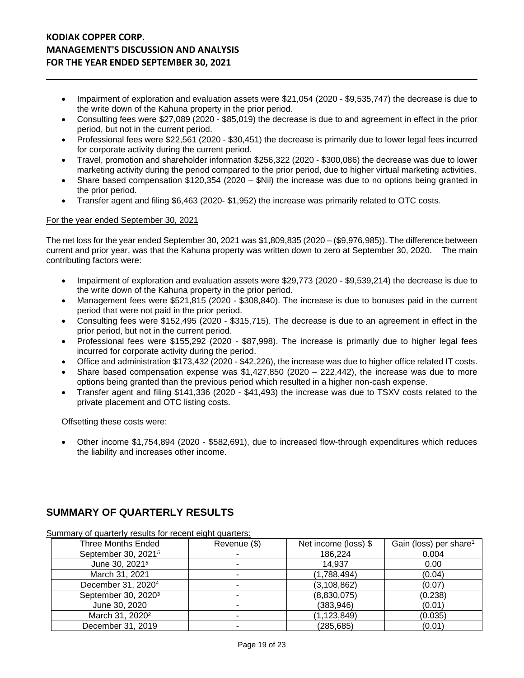- Impairment of exploration and evaluation assets were \$21,054 (2020 \$9,535,747) the decrease is due to the write down of the Kahuna property in the prior period.
- Consulting fees were \$27,089 (2020 \$85,019) the decrease is due to and agreement in effect in the prior period, but not in the current period.
- Professional fees were \$22,561 (2020 \$30,451) the decrease is primarily due to lower legal fees incurred for corporate activity during the current period.
- Travel, promotion and shareholder information \$256,322 (2020 \$300,086) the decrease was due to lower marketing activity during the period compared to the prior period, due to higher virtual marketing activities.
- Share based compensation \$120,354 (2020 \$Nil) the increase was due to no options being granted in the prior period.
- Transfer agent and filing \$6,463 (2020- \$1,952) the increase was primarily related to OTC costs.

#### For the year ended September 30, 2021

The net loss for the year ended September 30, 2021 was \$1,809,835 (2020 – (\$9,976,985)). The difference between current and prior year, was that the Kahuna property was written down to zero at September 30, 2020. The main contributing factors were:

- Impairment of exploration and evaluation assets were \$29,773 (2020 \$9,539,214) the decrease is due to the write down of the Kahuna property in the prior period.
- Management fees were \$521,815 (2020 \$308,840). The increase is due to bonuses paid in the current period that were not paid in the prior period.
- Consulting fees were \$152,495 (2020 \$315,715). The decrease is due to an agreement in effect in the prior period, but not in the current period.
- Professional fees were \$155,292 (2020 \$87,998). The increase is primarily due to higher legal fees incurred for corporate activity during the period.
- Office and administration \$173,432 (2020 \$42,226), the increase was due to higher office related IT costs.
- Share based compensation expense was \$1,427,850 (2020 222,442), the increase was due to more options being granted than the previous period which resulted in a higher non-cash expense.
- Transfer agent and filing \$141,336 (2020 \$41,493) the increase was due to TSXV costs related to the private placement and OTC listing costs.

Offsetting these costs were:

• Other income \$1,754,894 (2020 - \$582,691), due to increased flow-through expenditures which reduces the liability and increases other income.

# **SUMMARY OF QUARTERLY RESULTS**

Summary of quarterly results for recent eight quarters:

|                                 | ________     |                      |                                    |
|---------------------------------|--------------|----------------------|------------------------------------|
| Three Months Ended              | Revenue (\$) | Net income (loss) \$ | Gain (loss) per share <sup>1</sup> |
| September 30, 2021 <sup>5</sup> |              | 186,224              | 0.004                              |
| June 30, 2021 <sup>5</sup>      |              | 14,937               | 0.00                               |
| March 31, 2021                  |              | (1,788,494)          | (0.04)                             |
| December 31, 2020 <sup>4</sup>  |              | (3, 108, 862)        | (0.07)                             |
| September 30, 2020 <sup>3</sup> |              | (8,830,075)          | (0.238)                            |
| June 30, 2020                   |              | (383, 946)           | (0.01)                             |
| March 31, 2020 <sup>2</sup>     |              | (1, 123, 849)        | (0.035)                            |
| December 31, 2019               | ۰            | (285, 685)           | (0.01)                             |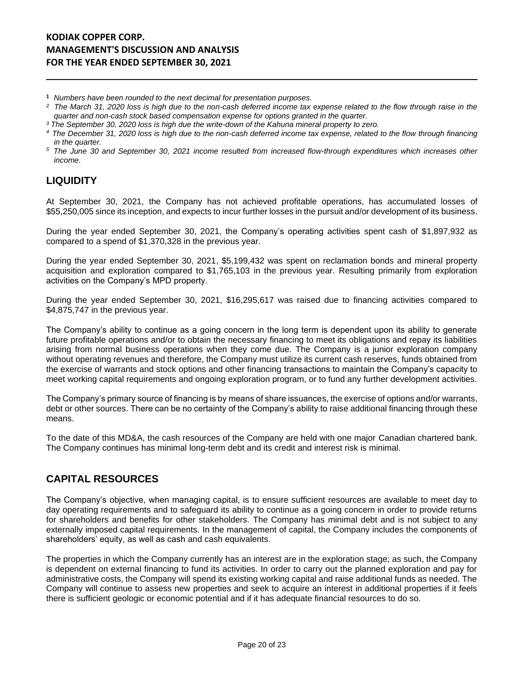**<sup>1</sup>** *Numbers have been rounded to the next decimal for presentation purposes.*

- *³ The September 30, 2020 loss is high due the write-down of the Kahuna mineral property to zero.*
- *<sup>4</sup>The December 31, 2020 loss is high due to the non-cash deferred income tax expense, related to the flow through financing in the quarter.*
- *<sup>5</sup>The June 30 and September 30, 2021 income resulted from increased flow-through expenditures which increases other income.*

# **LIQUIDITY**

At September 30, 2021, the Company has not achieved profitable operations, has accumulated losses of \$55,250,005 since its inception, and expects to incur further losses in the pursuit and/or development of its business.

During the year ended September 30, 2021, the Company's operating activities spent cash of \$1,897,932 as compared to a spend of \$1,370,328 in the previous year.

During the year ended September 30, 2021, \$5,199,432 was spent on reclamation bonds and mineral property acquisition and exploration compared to \$1,765,103 in the previous year. Resulting primarily from exploration activities on the Company's MPD property.

During the year ended September 30, 2021, \$16,295,617 was raised due to financing activities compared to \$4,875,747 in the previous year.

The Company's ability to continue as a going concern in the long term is dependent upon its ability to generate future profitable operations and/or to obtain the necessary financing to meet its obligations and repay its liabilities arising from normal business operations when they come due. The Company is a junior exploration company without operating revenues and therefore, the Company must utilize its current cash reserves, funds obtained from the exercise of warrants and stock options and other financing transactions to maintain the Company's capacity to meet working capital requirements and ongoing exploration program, or to fund any further development activities.

The Company's primary source of financing is by means of share issuances, the exercise of options and/or warrants, debt or other sources. There can be no certainty of the Company's ability to raise additional financing through these means.

To the date of this MD&A, the cash resources of the Company are held with one major Canadian chartered bank. The Company continues has minimal long-term debt and its credit and interest risk is minimal.

# **CAPITAL RESOURCES**

The Company's objective, when managing capital, is to ensure sufficient resources are available to meet day to day operating requirements and to safeguard its ability to continue as a going concern in order to provide returns for shareholders and benefits for other stakeholders. The Company has minimal debt and is not subject to any externally imposed capital requirements. In the management of capital, the Company includes the components of shareholders' equity, as well as cash and cash equivalents.

The properties in which the Company currently has an interest are in the exploration stage; as such, the Company is dependent on external financing to fund its activities. In order to carry out the planned exploration and pay for administrative costs, the Company will spend its existing working capital and raise additional funds as needed. The Company will continue to assess new properties and seek to acquire an interest in additional properties if it feels there is sufficient geologic or economic potential and if it has adequate financial resources to do so.

*² The March 31, 2020 loss is high due to the non-cash deferred income tax expense related to the flow through raise in the quarter and non-cash stock based compensation expense for options granted in the quarter.*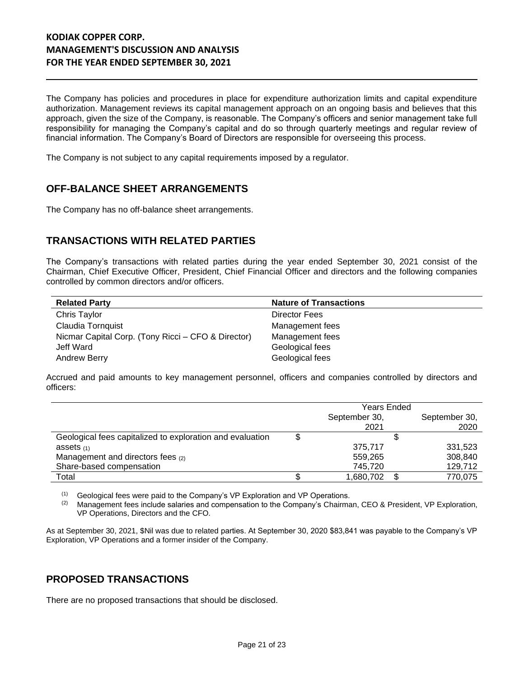The Company has policies and procedures in place for expenditure authorization limits and capital expenditure authorization. Management reviews its capital management approach on an ongoing basis and believes that this approach, given the size of the Company, is reasonable. The Company's officers and senior management take full responsibility for managing the Company's capital and do so through quarterly meetings and regular review of financial information. The Company's Board of Directors are responsible for overseeing this process.

The Company is not subject to any capital requirements imposed by a regulator.

# **OFF-BALANCE SHEET ARRANGEMENTS**

The Company has no off-balance sheet arrangements.

### **TRANSACTIONS WITH RELATED PARTIES**

The Company's transactions with related parties during the year ended September 30, 2021 consist of the Chairman, Chief Executive Officer, President, Chief Financial Officer and directors and the following companies controlled by common directors and/or officers.

| <b>Related Party</b>                               | <b>Nature of Transactions</b> |
|----------------------------------------------------|-------------------------------|
| Chris Taylor                                       | Director Fees                 |
| Claudia Tornquist                                  | Management fees               |
| Nicmar Capital Corp. (Tony Ricci – CFO & Director) | Management fees               |
| Jeff Ward                                          | Geological fees               |
| <b>Andrew Berry</b>                                | Geological fees               |

Accrued and paid amounts to key management personnel, officers and companies controlled by directors and officers:

|                                                           | Years Ended   |   |               |
|-----------------------------------------------------------|---------------|---|---------------|
|                                                           | September 30, |   | September 30, |
|                                                           | 2021          |   | 2020          |
| Geological fees capitalized to exploration and evaluation |               | S |               |
| assets $(1)$                                              | 375.717       |   | 331.523       |
| Management and directors fees (2)                         | 559,265       |   | 308.840       |
| Share-based compensation                                  | 745.720       |   | 129.712       |
| Total                                                     | 1,680,702     |   | 770.075       |

(1) Geological fees were paid to the Company's VP Exploration and VP Operations.<br>(2) Management fees include salaries and compensation to the Company's Chairma

(2) Management fees include salaries and compensation to the Company's Chairman, CEO & President, VP Exploration, VP Operations, Directors and the CFO.

As at September 30, 2021, \$Nil was due to related parties. At September 30, 2020 \$83,841 was payable to the Company's VP Exploration, VP Operations and a former insider of the Company.

# **PROPOSED TRANSACTIONS**

There are no proposed transactions that should be disclosed.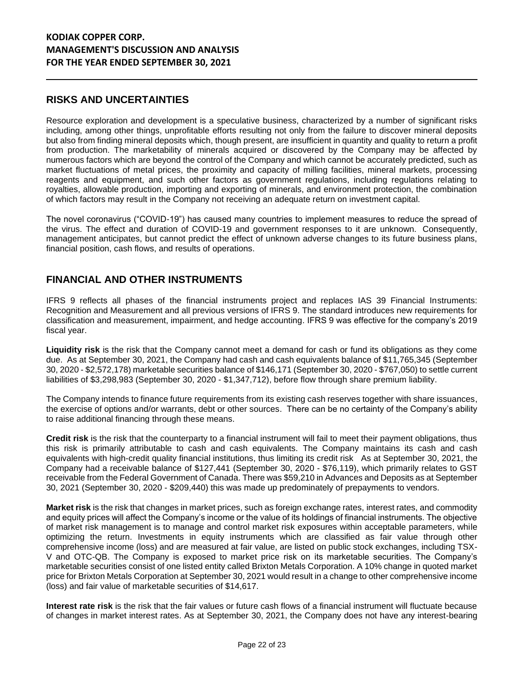### **RISKS AND UNCERTAINTIES**

Resource exploration and development is a speculative business, characterized by a number of significant risks including, among other things, unprofitable efforts resulting not only from the failure to discover mineral deposits but also from finding mineral deposits which, though present, are insufficient in quantity and quality to return a profit from production. The marketability of minerals acquired or discovered by the Company may be affected by numerous factors which are beyond the control of the Company and which cannot be accurately predicted, such as market fluctuations of metal prices, the proximity and capacity of milling facilities, mineral markets, processing reagents and equipment, and such other factors as government regulations, including regulations relating to royalties, allowable production, importing and exporting of minerals, and environment protection, the combination of which factors may result in the Company not receiving an adequate return on investment capital.

The novel coronavirus ("COVID-19") has caused many countries to implement measures to reduce the spread of the virus. The effect and duration of COVID-19 and government responses to it are unknown. Consequently, management anticipates, but cannot predict the effect of unknown adverse changes to its future business plans, financial position, cash flows, and results of operations.

### **FINANCIAL AND OTHER INSTRUMENTS**

IFRS 9 reflects all phases of the financial instruments project and replaces IAS 39 Financial Instruments: Recognition and Measurement and all previous versions of IFRS 9. The standard introduces new requirements for classification and measurement, impairment, and hedge accounting. IFRS 9 was effective for the company's 2019 fiscal year.

**Liquidity risk** is the risk that the Company cannot meet a demand for cash or fund its obligations as they come due. As at September 30, 2021, the Company had cash and cash equivalents balance of \$11,765,345 (September 30, 2020 - \$2,572,178) marketable securities balance of \$146,171 (September 30, 2020 - \$767,050) to settle current liabilities of \$3,298,983 (September 30, 2020 - \$1,347,712), before flow through share premium liability.

The Company intends to finance future requirements from its existing cash reserves together with share issuances, the exercise of options and/or warrants, debt or other sources. There can be no certainty of the Company's ability to raise additional financing through these means.

**Credit risk** is the risk that the counterparty to a financial instrument will fail to meet their payment obligations, thus this risk is primarily attributable to cash and cash equivalents. The Company maintains its cash and cash equivalents with high-credit quality financial institutions, thus limiting its credit risk As at September 30, 2021, the Company had a receivable balance of \$127,441 (September 30, 2020 - \$76,119), which primarily relates to GST receivable from the Federal Government of Canada. There was \$59,210 in Advances and Deposits as at September 30, 2021 (September 30, 2020 - \$209,440) this was made up predominately of prepayments to vendors.

**Market risk** is the risk that changes in market prices, such as foreign exchange rates, interest rates, and commodity and equity prices will affect the Company's income or the value of its holdings of financial instruments. The objective of market risk management is to manage and control market risk exposures within acceptable parameters, while optimizing the return. Investments in equity instruments which are classified as fair value through other comprehensive income (loss) and are measured at fair value, are listed on public stock exchanges, including TSX-V and OTC-QB. The Company is exposed to market price risk on its marketable securities. The Company's marketable securities consist of one listed entity called Brixton Metals Corporation. A 10% change in quoted market price for Brixton Metals Corporation at September 30, 2021 would result in a change to other comprehensive income (loss) and fair value of marketable securities of \$14,617.

**Interest rate risk** is the risk that the fair values or future cash flows of a financial instrument will fluctuate because of changes in market interest rates. As at September 30, 2021, the Company does not have any interest-bearing